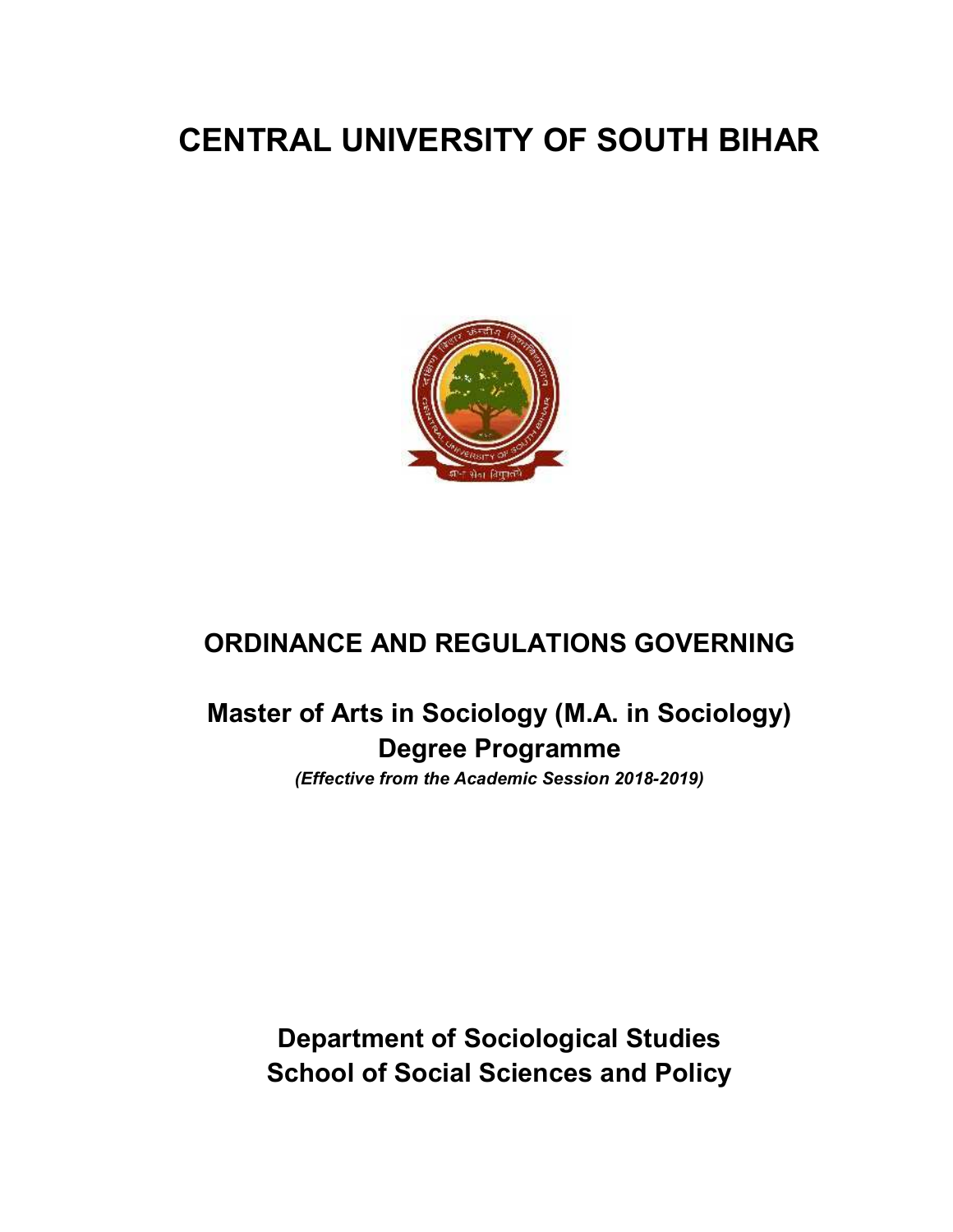# **CENTRAL UNIVERSITY OF SOUTH BIHAR**



# **ORDINANCE AND REGULATIONS GOVERNING**

# **Master of Arts in Sociology (M.A. in Sociology) Degree Programme**

*(Effective from the Academic Session 2018-2019)* 

**Department of Sociological Studies School of Social Sciences and Policy**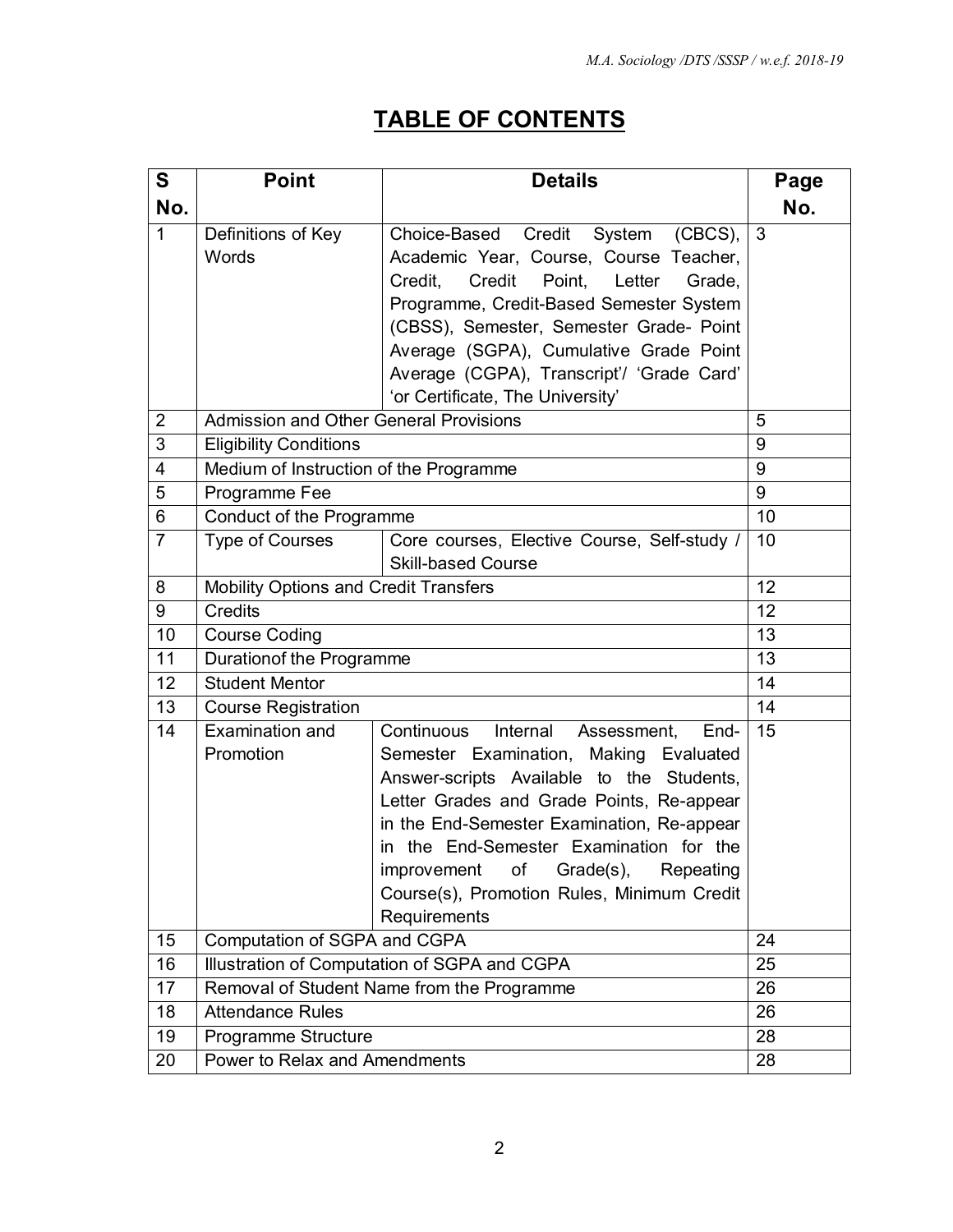# **TABLE OF CONTENTS**

| $\mathbf S$             | <b>Point</b>                                  | <b>Details</b>                                  |          |  |
|-------------------------|-----------------------------------------------|-------------------------------------------------|----------|--|
| No.                     |                                               |                                                 | No.      |  |
| $\mathbf{1}$            | Definitions of Key                            | Choice-Based Credit<br>System<br>$(CBCS)$ ,     | 3        |  |
|                         | Words                                         | Academic Year, Course, Course Teacher,          |          |  |
|                         |                                               | Credit<br>Point,<br>Letter<br>Credit.<br>Grade, |          |  |
|                         |                                               | Programme, Credit-Based Semester System         |          |  |
|                         |                                               | (CBSS), Semester, Semester Grade- Point         |          |  |
|                         |                                               | Average (SGPA), Cumulative Grade Point          |          |  |
|                         |                                               | Average (CGPA), Transcript'/ 'Grade Card'       |          |  |
|                         |                                               | 'or Certificate, The University'                |          |  |
| $\overline{2}$          | <b>Admission and Other General Provisions</b> |                                                 | 5        |  |
| 3                       | <b>Eligibility Conditions</b>                 |                                                 | 9        |  |
| $\overline{\mathbf{4}}$ | Medium of Instruction of the Programme        |                                                 | 9        |  |
| 5                       | Programme Fee                                 |                                                 | 9        |  |
| 6                       | Conduct of the Programme                      |                                                 | 10       |  |
| $\overline{7}$          | <b>Type of Courses</b>                        | Core courses, Elective Course, Self-study /     | 10       |  |
|                         |                                               | <b>Skill-based Course</b>                       |          |  |
| 8                       | Mobility Options and Credit Transfers         |                                                 | 12<br>12 |  |
| 9                       | <b>Credits</b>                                |                                                 |          |  |
| 10                      | <b>Course Coding</b>                          |                                                 |          |  |
| 11                      | Durationof the Programme                      |                                                 |          |  |
| 12                      | <b>Student Mentor</b>                         |                                                 |          |  |
| 13                      | <b>Course Registration</b>                    |                                                 | 14       |  |
| 14                      | Examination and                               | Internal<br>Continuous<br>Assessment,<br>End-   | 15       |  |
|                         | Promotion                                     | Semester Examination, Making Evaluated          |          |  |
|                         |                                               | Answer-scripts Available to the Students,       |          |  |
|                         |                                               | Letter Grades and Grade Points, Re-appear       |          |  |
|                         |                                               | in the End-Semester Examination, Re-appear      |          |  |
|                         |                                               | in the End-Semester Examination for the         |          |  |
|                         |                                               | Grade(s),<br>improvement<br>Οf<br>Repeating     |          |  |
|                         |                                               | Course(s), Promotion Rules, Minimum Credit      |          |  |
|                         |                                               | Requirements                                    | 24       |  |
| 15                      | Computation of SGPA and CGPA                  |                                                 |          |  |
| 16                      | Illustration of Computation of SGPA and CGPA  |                                                 |          |  |
| 17                      | Removal of Student Name from the Programme    |                                                 |          |  |
| 18                      | <b>Attendance Rules</b>                       |                                                 |          |  |
| 19                      | Programme Structure                           |                                                 | 28<br>28 |  |
| 20                      | Power to Relax and Amendments                 |                                                 |          |  |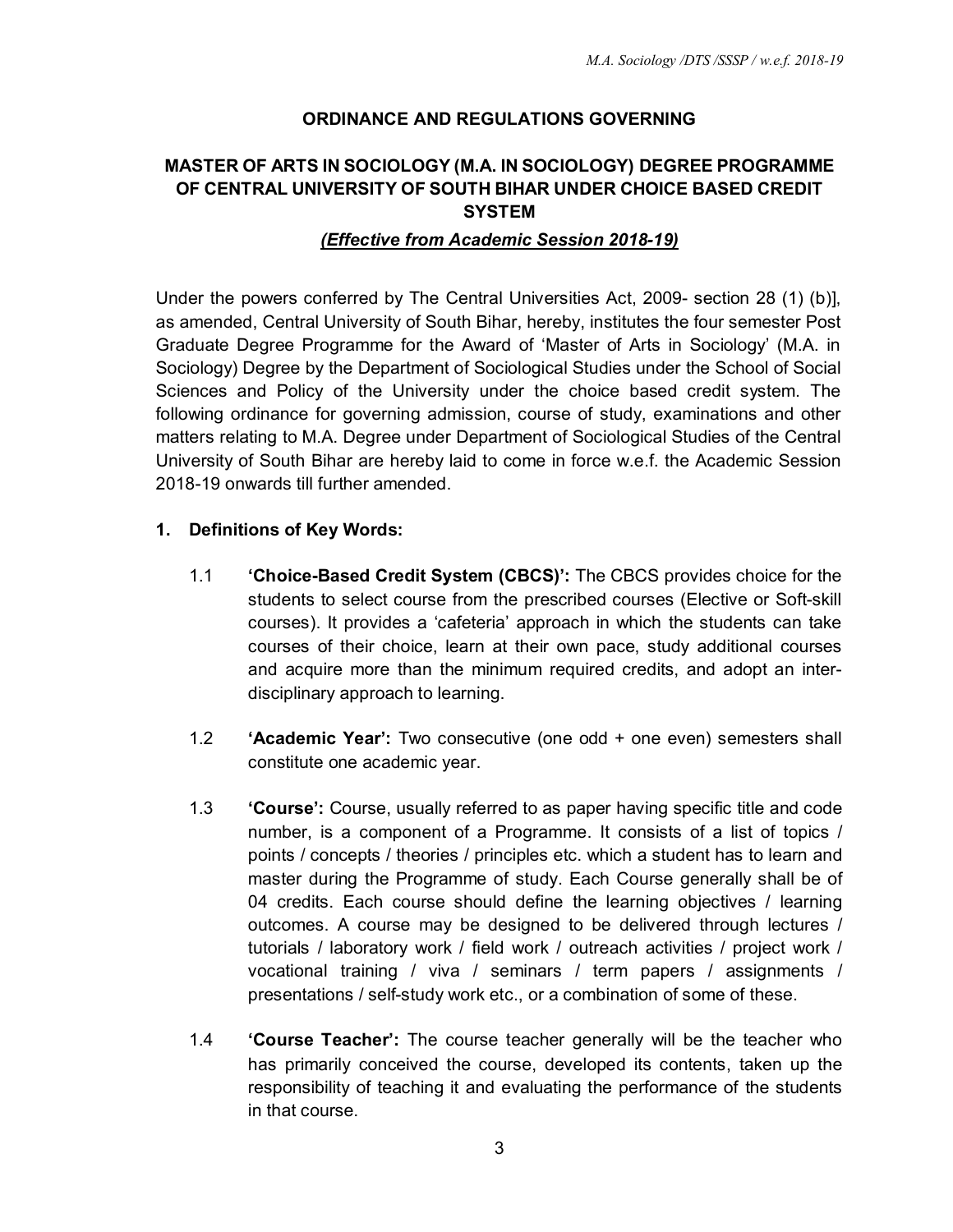# **ORDINANCE AND REGULATIONS GOVERNING**

# **MASTER OF ARTS IN SOCIOLOGY (M.A. IN SOCIOLOGY) DEGREE PROGRAMME OF CENTRAL UNIVERSITY OF SOUTH BIHAR UNDER CHOICE BASED CREDIT SYSTEM**

#### *(Effective from Academic Session 2018-19)*

Under the powers conferred by The Central Universities Act, 2009- section 28 (1) (b)], as amended, Central University of South Bihar, hereby, institutes the four semester Post Graduate Degree Programme for the Award of 'Master of Arts in Sociology' (M.A. in Sociology) Degree by the Department of Sociological Studies under the School of Social Sciences and Policy of the University under the choice based credit system. The following ordinance for governing admission, course of study, examinations and other matters relating to M.A. Degree under Department of Sociological Studies of the Central University of South Bihar are hereby laid to come in force w.e.f. the Academic Session 2018-19 onwards till further amended.

#### **1. Definitions of Key Words:**

- 1.1 **'Choice-Based Credit System (CBCS)':** The CBCS provides choice for the students to select course from the prescribed courses (Elective or Soft-skill courses). It provides a 'cafeteria' approach in which the students can take courses of their choice, learn at their own pace, study additional courses and acquire more than the minimum required credits, and adopt an interdisciplinary approach to learning.
- 1.2 **'Academic Year':** Two consecutive (one odd + one even) semesters shall constitute one academic year.
- 1.3 **'Course':** Course, usually referred to as paper having specific title and code number, is a component of a Programme. It consists of a list of topics / points / concepts / theories / principles etc. which a student has to learn and master during the Programme of study. Each Course generally shall be of 04 credits. Each course should define the learning objectives / learning outcomes. A course may be designed to be delivered through lectures / tutorials / laboratory work / field work / outreach activities / project work / vocational training / viva / seminars / term papers / assignments / presentations / self-study work etc., or a combination of some of these.
- 1.4 **'Course Teacher':** The course teacher generally will be the teacher who has primarily conceived the course, developed its contents, taken up the responsibility of teaching it and evaluating the performance of the students in that course.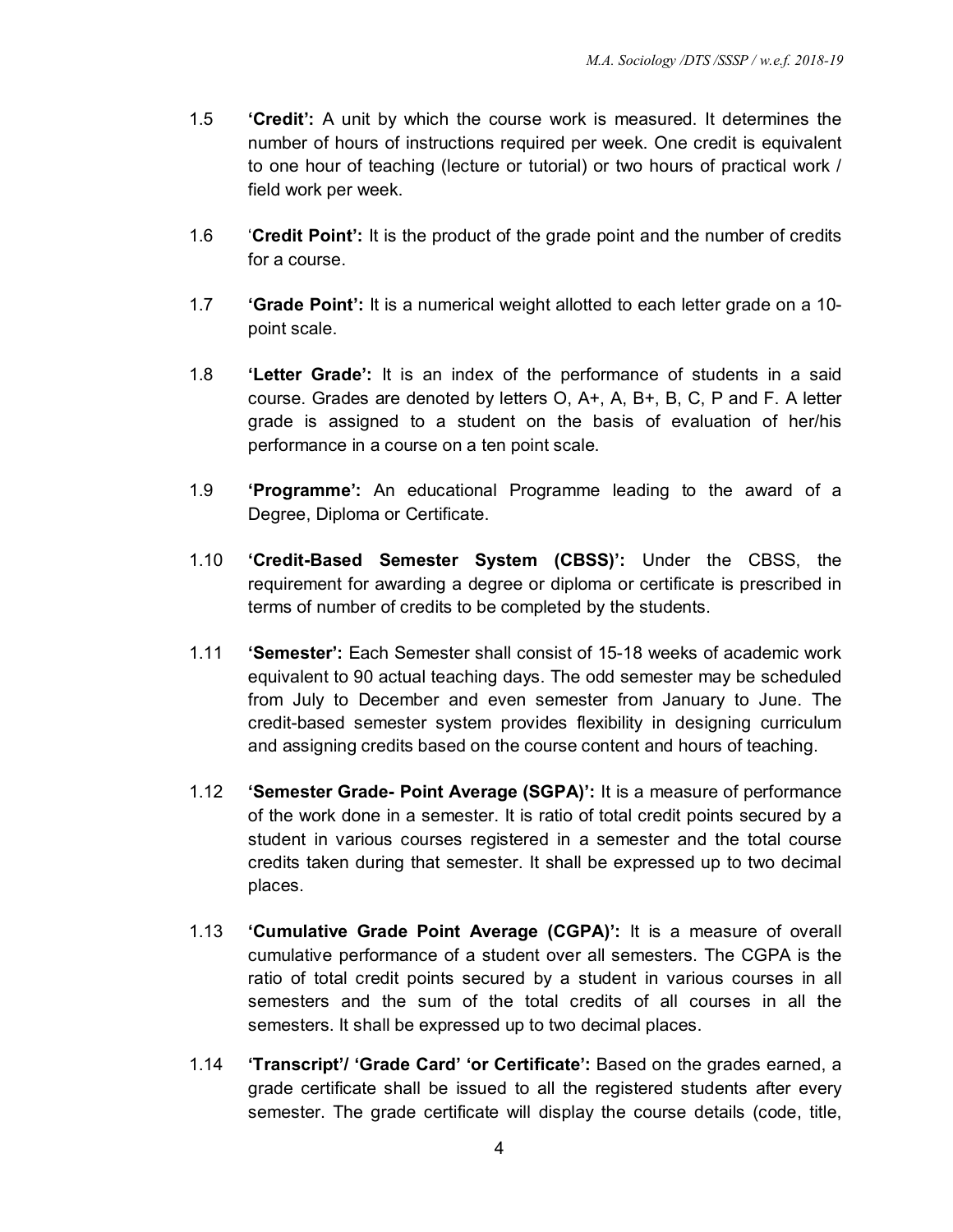- 1.5 **'Credit':** A unit by which the course work is measured. It determines the number of hours of instructions required per week. One credit is equivalent to one hour of teaching (lecture or tutorial) or two hours of practical work / field work per week.
- 1.6 '**Credit Point':** It is the product of the grade point and the number of credits for a course.
- 1.7 **'Grade Point':** It is a numerical weight allotted to each letter grade on a 10 point scale.
- 1.8 **'Letter Grade':** It is an index of the performance of students in a said course. Grades are denoted by letters O, A+, A, B+, B, C, P and F. A letter grade is assigned to a student on the basis of evaluation of her/his performance in a course on a ten point scale.
- 1.9 **'Programme':** An educational Programme leading to the award of a Degree, Diploma or Certificate.
- 1.10 **'Credit-Based Semester System (CBSS)':** Under the CBSS, the requirement for awarding a degree or diploma or certificate is prescribed in terms of number of credits to be completed by the students.
- 1.11 **'Semester':** Each Semester shall consist of 15-18 weeks of academic work equivalent to 90 actual teaching days. The odd semester may be scheduled from July to December and even semester from January to June. The credit-based semester system provides flexibility in designing curriculum and assigning credits based on the course content and hours of teaching.
- 1.12 **'Semester Grade- Point Average (SGPA)':** It is a measure of performance of the work done in a semester. It is ratio of total credit points secured by a student in various courses registered in a semester and the total course credits taken during that semester. It shall be expressed up to two decimal places.
- 1.13 **'Cumulative Grade Point Average (CGPA)':** It is a measure of overall cumulative performance of a student over all semesters. The CGPA is the ratio of total credit points secured by a student in various courses in all semesters and the sum of the total credits of all courses in all the semesters. It shall be expressed up to two decimal places.
- 1.14 **'Transcript'/ 'Grade Card' 'or Certificate':** Based on the grades earned, a grade certificate shall be issued to all the registered students after every semester. The grade certificate will display the course details (code, title,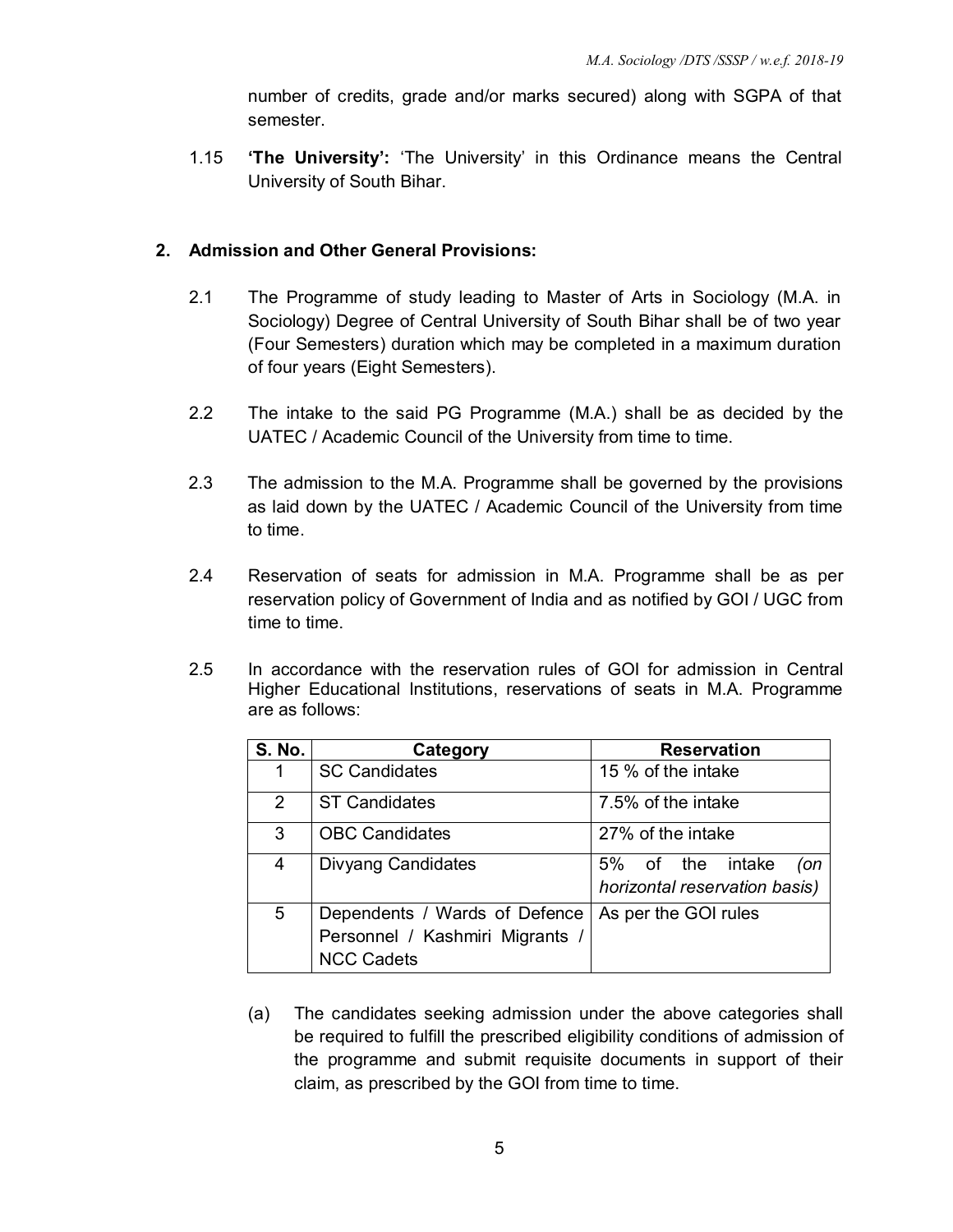number of credits, grade and/or marks secured) along with SGPA of that semester.

1.15 **'The University':** 'The University' in this Ordinance means the Central University of South Bihar.

### **2. Admission and Other General Provisions:**

- 2.1 The Programme of study leading to Master of Arts in Sociology (M.A. in Sociology) Degree of Central University of South Bihar shall be of two year (Four Semesters) duration which may be completed in a maximum duration of four years (Eight Semesters).
- 2.2 The intake to the said PG Programme (M.A.) shall be as decided by the UATEC / Academic Council of the University from time to time.
- 2.3 The admission to the M.A. Programme shall be governed by the provisions as laid down by the UATEC / Academic Council of the University from time to time.
- 2.4 Reservation of seats for admission in M.A. Programme shall be as per reservation policy of Government of India and as notified by GOI / UGC from time to time.
- 2.5 In accordance with the reservation rules of GOI for admission in Central Higher Educational Institutions, reservations of seats in M.A. Programme are as follows:

| <b>S. No.</b>  | Category                        | <b>Reservation</b>            |  |  |
|----------------|---------------------------------|-------------------------------|--|--|
|                | <b>SC Candidates</b>            | 15 % of the intake            |  |  |
| $\overline{2}$ | <b>ST Candidates</b>            | 7.5% of the intake            |  |  |
| 3              | <b>OBC Candidates</b>           | 27% of the intake             |  |  |
| 4              | <b>Divyang Candidates</b>       | 5% of the intake<br>(on       |  |  |
|                |                                 | horizontal reservation basis) |  |  |
| 5              | Dependents / Wards of Defence   | As per the GOI rules          |  |  |
|                | Personnel / Kashmiri Migrants / |                               |  |  |
|                | <b>NCC Cadets</b>               |                               |  |  |

(a) The candidates seeking admission under the above categories shall be required to fulfill the prescribed eligibility conditions of admission of the programme and submit requisite documents in support of their claim, as prescribed by the GOI from time to time.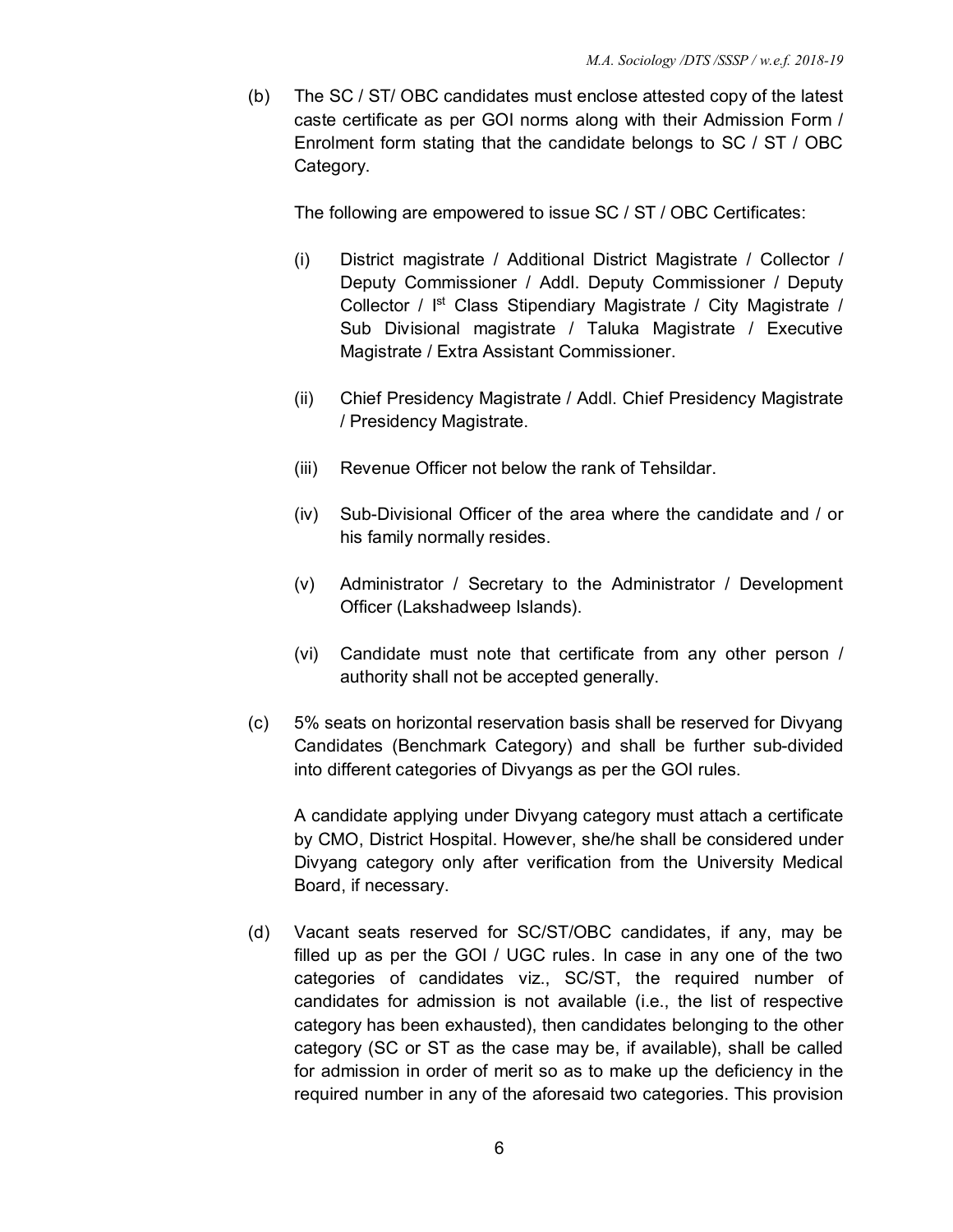(b) The SC / ST/ OBC candidates must enclose attested copy of the latest caste certificate as per GOI norms along with their Admission Form / Enrolment form stating that the candidate belongs to SC / ST / OBC Category.

The following are empowered to issue SC / ST / OBC Certificates:

- (i) District magistrate / Additional District Magistrate / Collector / Deputy Commissioner / Addl. Deputy Commissioner / Deputy Collector / I<sup>st</sup> Class Stipendiary Magistrate / City Magistrate / Sub Divisional magistrate / Taluka Magistrate / Executive Magistrate / Extra Assistant Commissioner.
- (ii) Chief Presidency Magistrate / Addl. Chief Presidency Magistrate / Presidency Magistrate.
- (iii) Revenue Officer not below the rank of Tehsildar.
- (iv) Sub-Divisional Officer of the area where the candidate and / or his family normally resides.
- (v) Administrator / Secretary to the Administrator / Development Officer (Lakshadweep Islands).
- (vi) Candidate must note that certificate from any other person / authority shall not be accepted generally.
- (c) 5% seats on horizontal reservation basis shall be reserved for Divyang Candidates (Benchmark Category) and shall be further sub-divided into different categories of Divyangs as per the GOI rules.

A candidate applying under Divyang category must attach a certificate by CMO, District Hospital. However, she/he shall be considered under Divyang category only after verification from the University Medical Board, if necessary.

(d) Vacant seats reserved for SC/ST/OBC candidates, if any, may be filled up as per the GOI / UGC rules. In case in any one of the two categories of candidates viz., SC/ST, the required number of candidates for admission is not available (i.e., the list of respective category has been exhausted), then candidates belonging to the other category (SC or ST as the case may be, if available), shall be called for admission in order of merit so as to make up the deficiency in the required number in any of the aforesaid two categories. This provision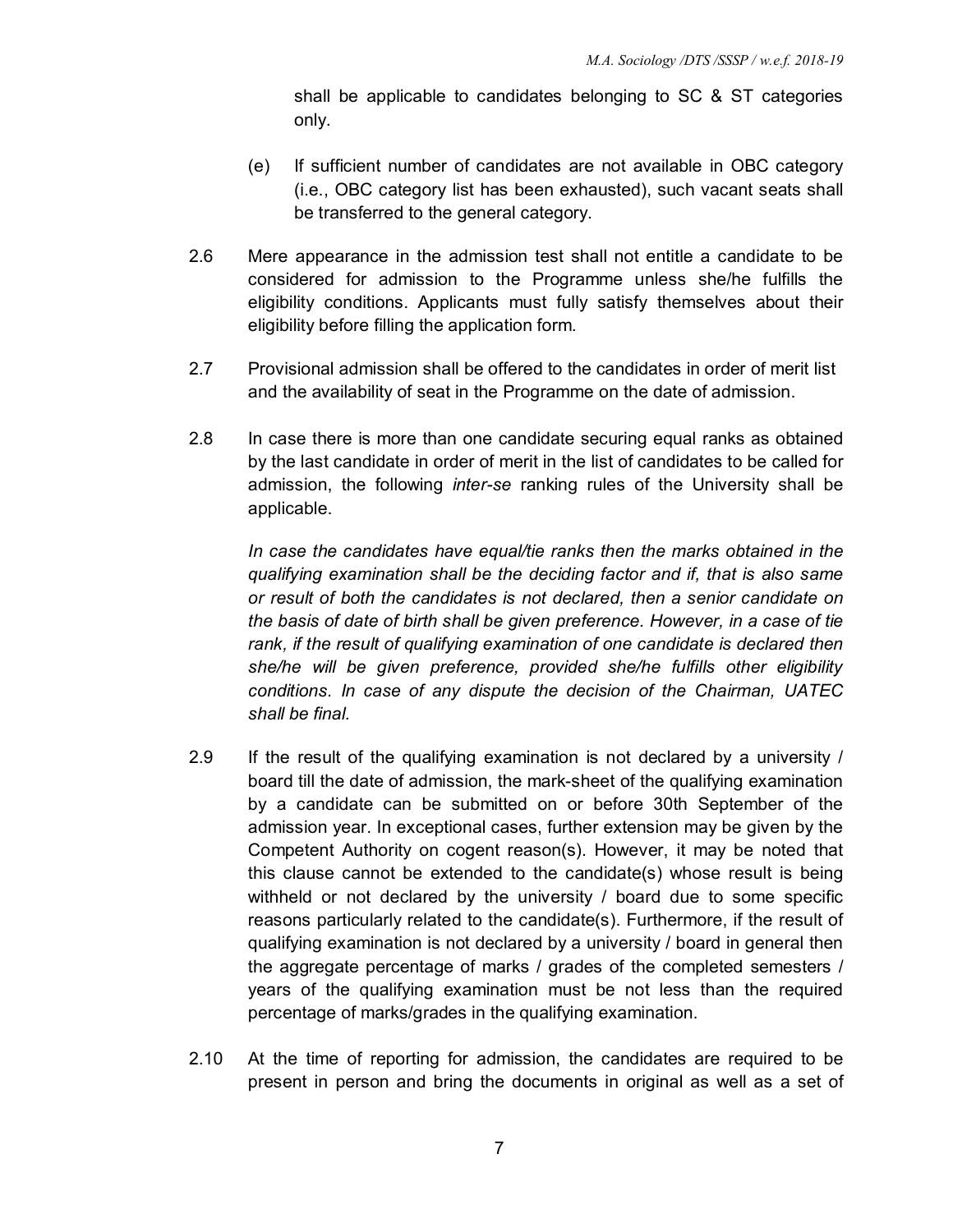shall be applicable to candidates belonging to SC & ST categories only.

- (e) If sufficient number of candidates are not available in OBC category (i.e., OBC category list has been exhausted), such vacant seats shall be transferred to the general category.
- 2.6 Mere appearance in the admission test shall not entitle a candidate to be considered for admission to the Programme unless she/he fulfills the eligibility conditions. Applicants must fully satisfy themselves about their eligibility before filling the application form.
- 2.7 Provisional admission shall be offered to the candidates in order of merit list and the availability of seat in the Programme on the date of admission.
- 2.8 In case there is more than one candidate securing equal ranks as obtained by the last candidate in order of merit in the list of candidates to be called for admission, the following *inter-se* ranking rules of the University shall be applicable.

*In case the candidates have equal/tie ranks then the marks obtained in the qualifying examination shall be the deciding factor and if, that is also same or result of both the candidates is not declared, then a senior candidate on the basis of date of birth shall be given preference. However, in a case of tie rank, if the result of qualifying examination of one candidate is declared then she/he will be given preference, provided she/he fulfills other eligibility conditions. In case of any dispute the decision of the Chairman, UATEC shall be final.* 

- 2.9 If the result of the qualifying examination is not declared by a university / board till the date of admission, the mark-sheet of the qualifying examination by a candidate can be submitted on or before 30th September of the admission year. In exceptional cases, further extension may be given by the Competent Authority on cogent reason(s). However, it may be noted that this clause cannot be extended to the candidate(s) whose result is being withheld or not declared by the university / board due to some specific reasons particularly related to the candidate(s). Furthermore, if the result of qualifying examination is not declared by a university / board in general then the aggregate percentage of marks / grades of the completed semesters / years of the qualifying examination must be not less than the required percentage of marks/grades in the qualifying examination.
- 2.10 At the time of reporting for admission, the candidates are required to be present in person and bring the documents in original as well as a set of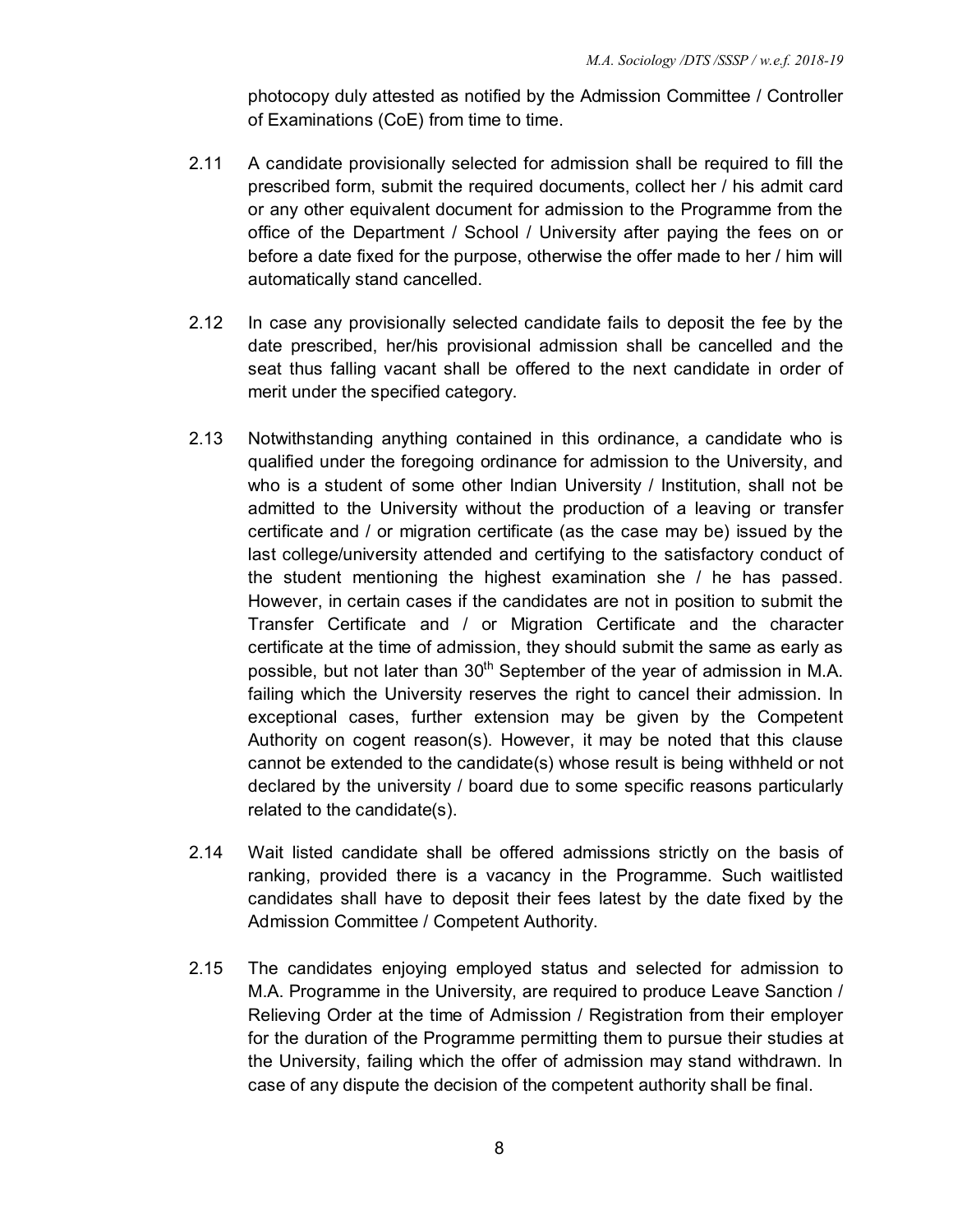photocopy duly attested as notified by the Admission Committee / Controller of Examinations (CoE) from time to time.

- 2.11 A candidate provisionally selected for admission shall be required to fill the prescribed form, submit the required documents, collect her / his admit card or any other equivalent document for admission to the Programme from the office of the Department / School / University after paying the fees on or before a date fixed for the purpose, otherwise the offer made to her / him will automatically stand cancelled.
- 2.12 In case any provisionally selected candidate fails to deposit the fee by the date prescribed, her/his provisional admission shall be cancelled and the seat thus falling vacant shall be offered to the next candidate in order of merit under the specified category.
- 2.13 Notwithstanding anything contained in this ordinance, a candidate who is qualified under the foregoing ordinance for admission to the University, and who is a student of some other Indian University / Institution, shall not be admitted to the University without the production of a leaving or transfer certificate and / or migration certificate (as the case may be) issued by the last college/university attended and certifying to the satisfactory conduct of the student mentioning the highest examination she / he has passed. However, in certain cases if the candidates are not in position to submit the Transfer Certificate and / or Migration Certificate and the character certificate at the time of admission, they should submit the same as early as possible, but not later than 30<sup>th</sup> September of the year of admission in M.A. failing which the University reserves the right to cancel their admission. In exceptional cases, further extension may be given by the Competent Authority on cogent reason(s). However, it may be noted that this clause cannot be extended to the candidate(s) whose result is being withheld or not declared by the university / board due to some specific reasons particularly related to the candidate(s).
- 2.14 Wait listed candidate shall be offered admissions strictly on the basis of ranking, provided there is a vacancy in the Programme. Such waitlisted candidates shall have to deposit their fees latest by the date fixed by the Admission Committee / Competent Authority.
- 2.15 The candidates enjoying employed status and selected for admission to M.A. Programme in the University, are required to produce Leave Sanction / Relieving Order at the time of Admission / Registration from their employer for the duration of the Programme permitting them to pursue their studies at the University, failing which the offer of admission may stand withdrawn. In case of any dispute the decision of the competent authority shall be final.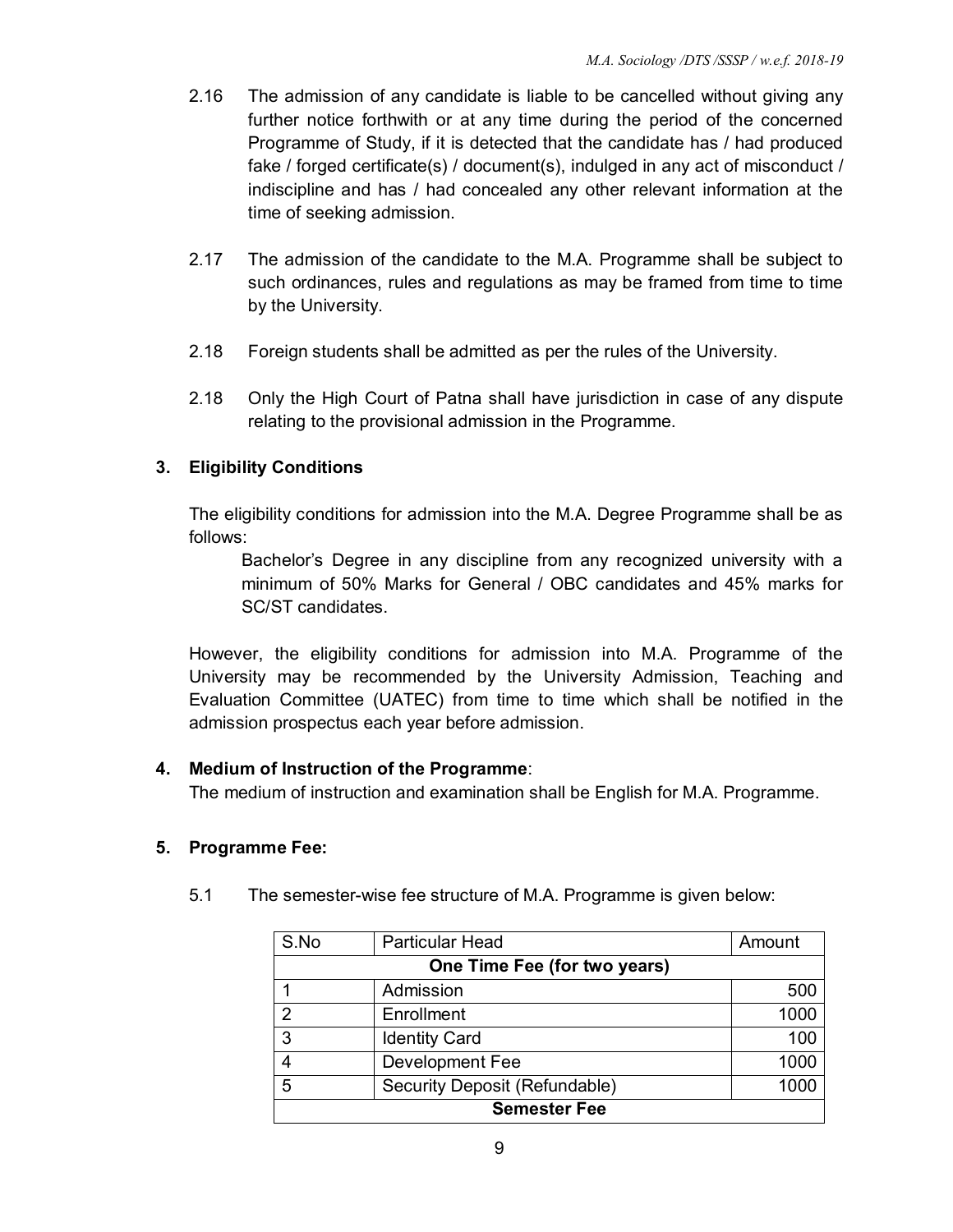- 2.16 The admission of any candidate is liable to be cancelled without giving any further notice forthwith or at any time during the period of the concerned Programme of Study, if it is detected that the candidate has / had produced fake / forged certificate(s) / document(s), indulged in any act of misconduct / indiscipline and has / had concealed any other relevant information at the time of seeking admission.
- 2.17 The admission of the candidate to the M.A. Programme shall be subject to such ordinances, rules and regulations as may be framed from time to time by the University.
- 2.18 Foreign students shall be admitted as per the rules of the University.
- 2.18 Only the High Court of Patna shall have jurisdiction in case of any dispute relating to the provisional admission in the Programme.

# **3. Eligibility Conditions**

The eligibility conditions for admission into the M.A. Degree Programme shall be as follows:

Bachelor's Degree in any discipline from any recognized university with a minimum of 50% Marks for General / OBC candidates and 45% marks for SC/ST candidates.

However, the eligibility conditions for admission into M.A. Programme of the University may be recommended by the University Admission, Teaching and Evaluation Committee (UATEC) from time to time which shall be notified in the admission prospectus each year before admission.

#### **4. Medium of Instruction of the Programme**:

The medium of instruction and examination shall be English for M.A. Programme.

#### **5. Programme Fee:**

| S.No                | <b>Particular Head</b>        | Amount |  |  |
|---------------------|-------------------------------|--------|--|--|
|                     | One Time Fee (for two years)  |        |  |  |
|                     | Admission                     | 500    |  |  |
| っ                   | Enrollment                    | 1000   |  |  |
| 3                   | <b>Identity Card</b>          | 100    |  |  |
| 4                   | Development Fee               | 1000   |  |  |
| 5                   | Security Deposit (Refundable) | 1000   |  |  |
| <b>Semester Fee</b> |                               |        |  |  |

5.1 The semester-wise fee structure of M.A. Programme is given below: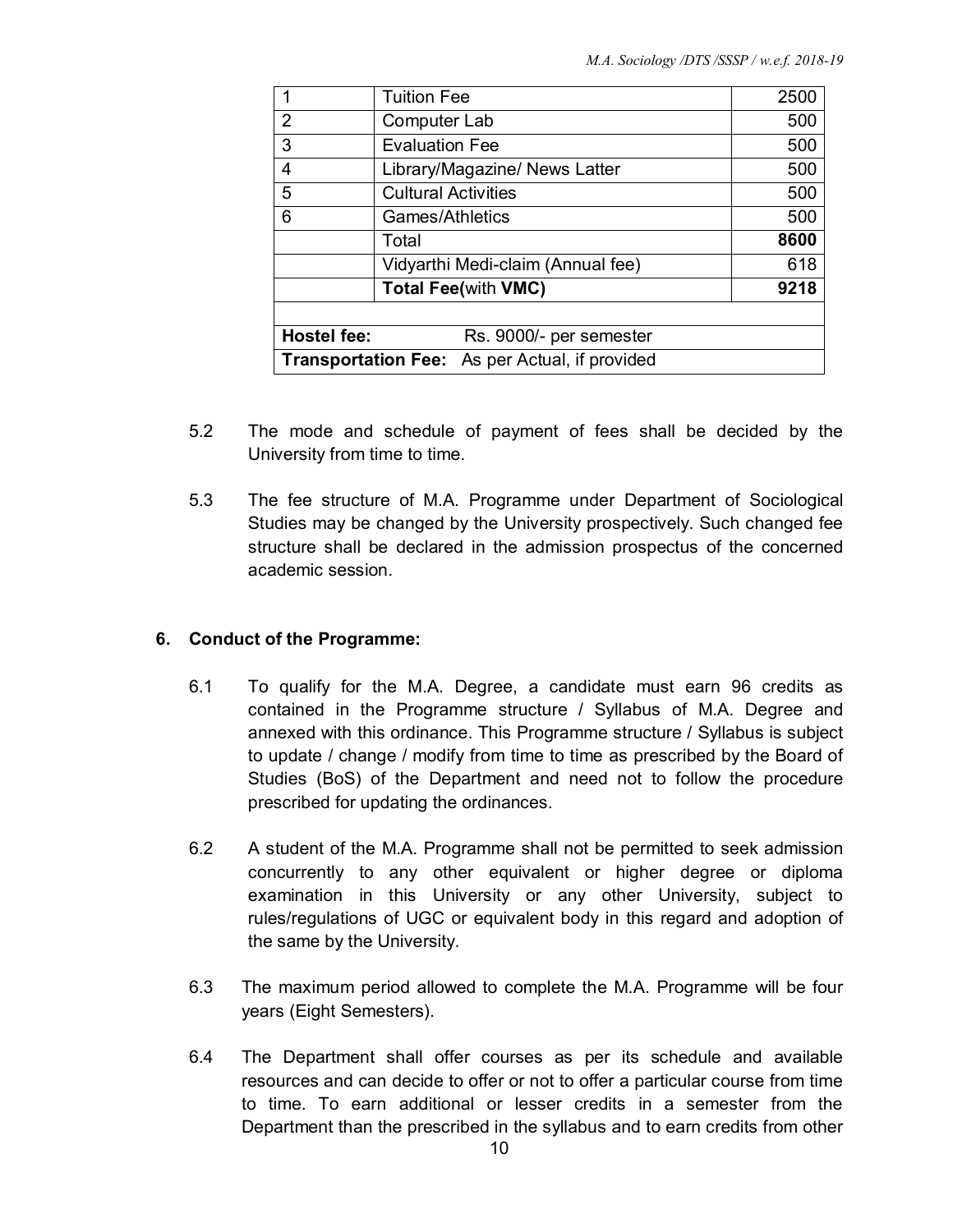|                                                | <b>Tuition Fee</b>            | 2500 |  |
|------------------------------------------------|-------------------------------|------|--|
| 2                                              | Computer Lab                  | 500  |  |
| 3                                              | <b>Evaluation Fee</b>         | 500  |  |
| 4                                              | Library/Magazine/ News Latter | 500  |  |
| 5                                              | <b>Cultural Activities</b>    | 500  |  |
| 6                                              | Games/Athletics               | 500  |  |
|                                                | Total                         | 8600 |  |
| Vidyarthi Medi-claim (Annual fee)              |                               | 618  |  |
| <b>Total Fee(with VMC)</b>                     |                               | 9218 |  |
|                                                |                               |      |  |
| <b>Hostel fee:</b>                             | Rs. 9000/- per semester       |      |  |
| Transportation Fee: As per Actual, if provided |                               |      |  |

- 5.2 The mode and schedule of payment of fees shall be decided by the University from time to time.
- 5.3 The fee structure of M.A. Programme under Department of Sociological Studies may be changed by the University prospectively. Such changed fee structure shall be declared in the admission prospectus of the concerned academic session.

#### **6. Conduct of the Programme:**

- 6.1 To qualify for the M.A. Degree, a candidate must earn 96 credits as contained in the Programme structure / Syllabus of M.A. Degree and annexed with this ordinance. This Programme structure / Syllabus is subject to update / change / modify from time to time as prescribed by the Board of Studies (BoS) of the Department and need not to follow the procedure prescribed for updating the ordinances.
- 6.2 A student of the M.A. Programme shall not be permitted to seek admission concurrently to any other equivalent or higher degree or diploma examination in this University or any other University, subject to rules/regulations of UGC or equivalent body in this regard and adoption of the same by the University.
- 6.3 The maximum period allowed to complete the M.A. Programme will be four years (Eight Semesters).
- 6.4 The Department shall offer courses as per its schedule and available resources and can decide to offer or not to offer a particular course from time to time. To earn additional or lesser credits in a semester from the Department than the prescribed in the syllabus and to earn credits from other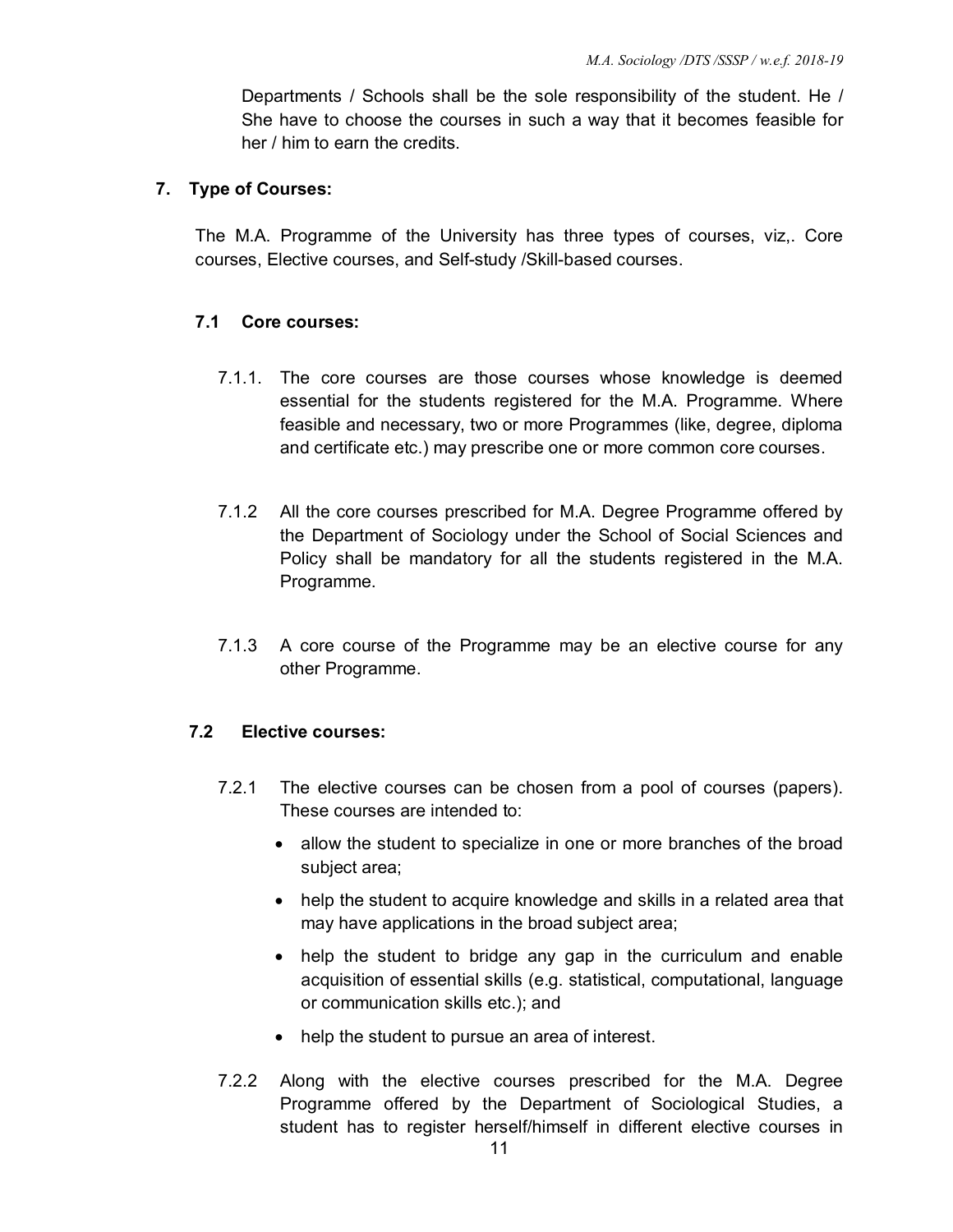Departments / Schools shall be the sole responsibility of the student. He / She have to choose the courses in such a way that it becomes feasible for her / him to earn the credits.

#### **7. Type of Courses:**

The M.A. Programme of the University has three types of courses, viz,. Core courses, Elective courses, and Self-study /Skill-based courses.

#### **7.1 Core courses:**

- 7.1.1. The core courses are those courses whose knowledge is deemed essential for the students registered for the M.A. Programme. Where feasible and necessary, two or more Programmes (like, degree, diploma and certificate etc.) may prescribe one or more common core courses.
- 7.1.2 All the core courses prescribed for M.A. Degree Programme offered by the Department of Sociology under the School of Social Sciences and Policy shall be mandatory for all the students registered in the M.A. Programme.
- 7.1.3 A core course of the Programme may be an elective course for any other Programme.

#### **7.2 Elective courses:**

- 7.2.1 The elective courses can be chosen from a pool of courses (papers). These courses are intended to:
	- allow the student to specialize in one or more branches of the broad subject area;
	- help the student to acquire knowledge and skills in a related area that may have applications in the broad subject area;
	- help the student to bridge any gap in the curriculum and enable acquisition of essential skills (e.g. statistical, computational, language or communication skills etc.); and
	- help the student to pursue an area of interest.
- 7.2.2 Along with the elective courses prescribed for the M.A. Degree Programme offered by the Department of Sociological Studies, a student has to register herself/himself in different elective courses in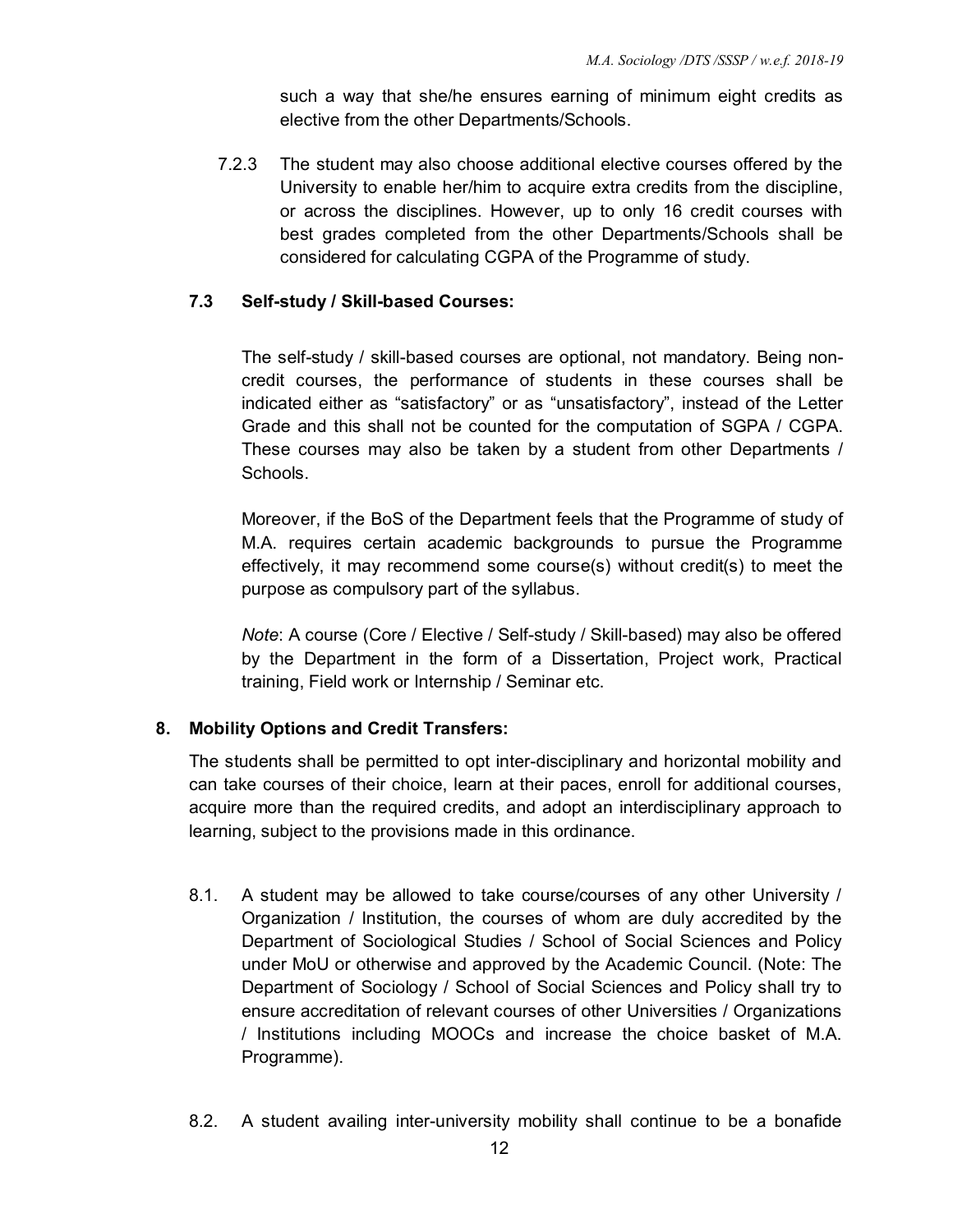such a way that she/he ensures earning of minimum eight credits as elective from the other Departments/Schools.

7.2.3 The student may also choose additional elective courses offered by the University to enable her/him to acquire extra credits from the discipline, or across the disciplines. However, up to only 16 credit courses with best grades completed from the other Departments/Schools shall be considered for calculating CGPA of the Programme of study.

# **7.3 Self-study / Skill-based Courses:**

The self-study / skill-based courses are optional, not mandatory. Being noncredit courses, the performance of students in these courses shall be indicated either as "satisfactory" or as "unsatisfactory", instead of the Letter Grade and this shall not be counted for the computation of SGPA / CGPA. These courses may also be taken by a student from other Departments / Schools.

Moreover, if the BoS of the Department feels that the Programme of study of M.A. requires certain academic backgrounds to pursue the Programme effectively, it may recommend some course(s) without credit(s) to meet the purpose as compulsory part of the syllabus.

*Note*: A course (Core / Elective / Self-study / Skill-based) may also be offered by the Department in the form of a Dissertation, Project work, Practical training, Field work or Internship / Seminar etc.

#### **8. Mobility Options and Credit Transfers:**

The students shall be permitted to opt inter-disciplinary and horizontal mobility and can take courses of their choice, learn at their paces, enroll for additional courses, acquire more than the required credits, and adopt an interdisciplinary approach to learning, subject to the provisions made in this ordinance.

- 8.1. A student may be allowed to take course/courses of any other University / Organization / Institution, the courses of whom are duly accredited by the Department of Sociological Studies / School of Social Sciences and Policy under MoU or otherwise and approved by the Academic Council. (Note: The Department of Sociology / School of Social Sciences and Policy shall try to ensure accreditation of relevant courses of other Universities / Organizations / Institutions including MOOCs and increase the choice basket of M.A. Programme).
- 8.2. A student availing inter-university mobility shall continue to be a bonafide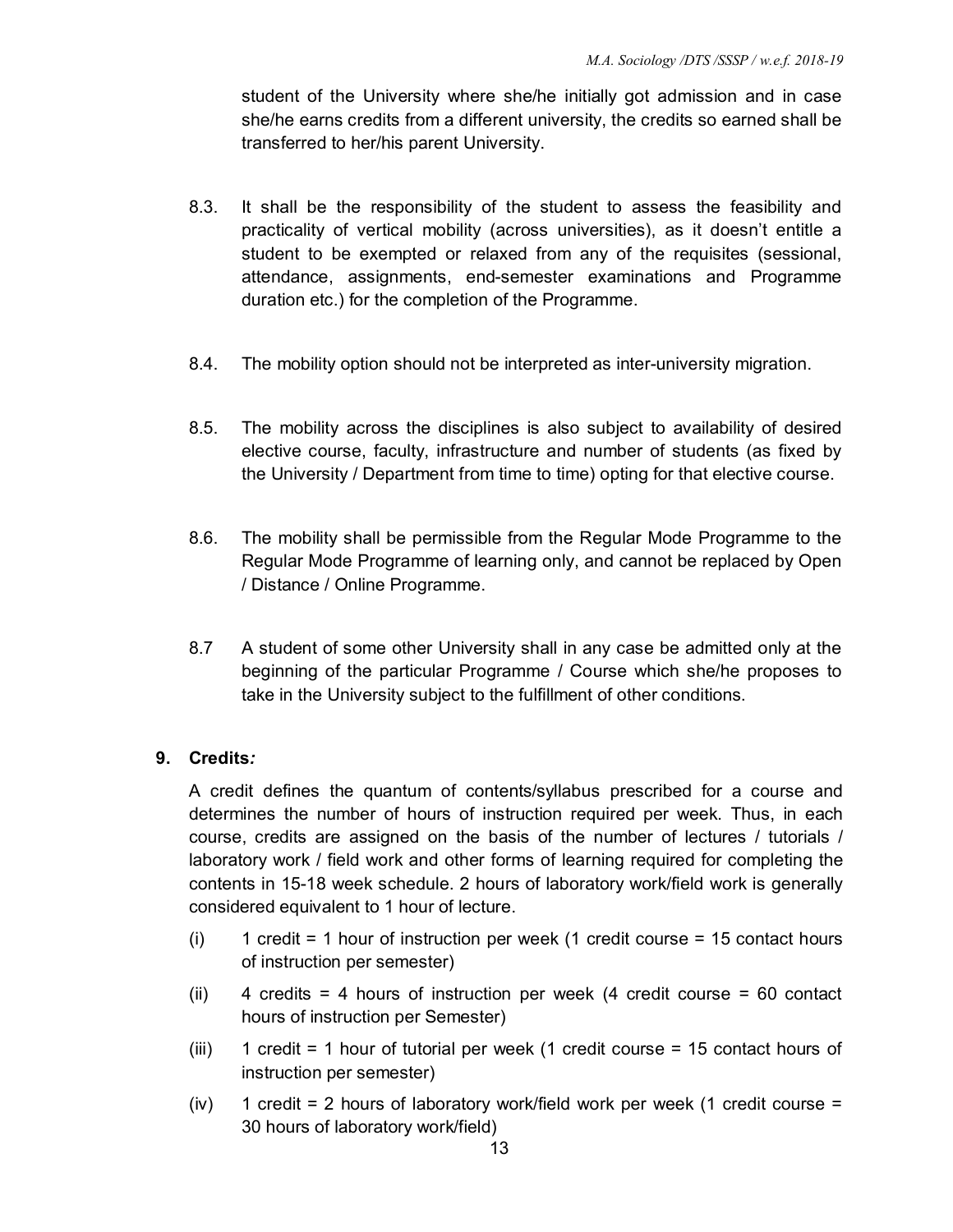student of the University where she/he initially got admission and in case she/he earns credits from a different university, the credits so earned shall be transferred to her/his parent University.

- 8.3. It shall be the responsibility of the student to assess the feasibility and practicality of vertical mobility (across universities), as it doesn't entitle a student to be exempted or relaxed from any of the requisites (sessional, attendance, assignments, end-semester examinations and Programme duration etc.) for the completion of the Programme.
- 8.4. The mobility option should not be interpreted as inter-university migration.
- 8.5. The mobility across the disciplines is also subject to availability of desired elective course, faculty, infrastructure and number of students (as fixed by the University / Department from time to time) opting for that elective course.
- 8.6. The mobility shall be permissible from the Regular Mode Programme to the Regular Mode Programme of learning only, and cannot be replaced by Open / Distance / Online Programme.
- 8.7 A student of some other University shall in any case be admitted only at the beginning of the particular Programme / Course which she/he proposes to take in the University subject to the fulfillment of other conditions.

# **9. Credits***:*

A credit defines the quantum of contents/syllabus prescribed for a course and determines the number of hours of instruction required per week. Thus, in each course, credits are assigned on the basis of the number of lectures / tutorials / laboratory work / field work and other forms of learning required for completing the contents in 15-18 week schedule. 2 hours of laboratory work/field work is generally considered equivalent to 1 hour of lecture.

- (i) 1 credit = 1 hour of instruction per week (1 credit course = 15 contact hours of instruction per semester)
- $(ii)$  4 credits = 4 hours of instruction per week (4 credit course = 60 contact hours of instruction per Semester)
- (iii) 1 credit = 1 hour of tutorial per week (1 credit course = 15 contact hours of instruction per semester)
- $(iv)$  1 credit = 2 hours of laboratory work/field work per week (1 credit course = 30 hours of laboratory work/field)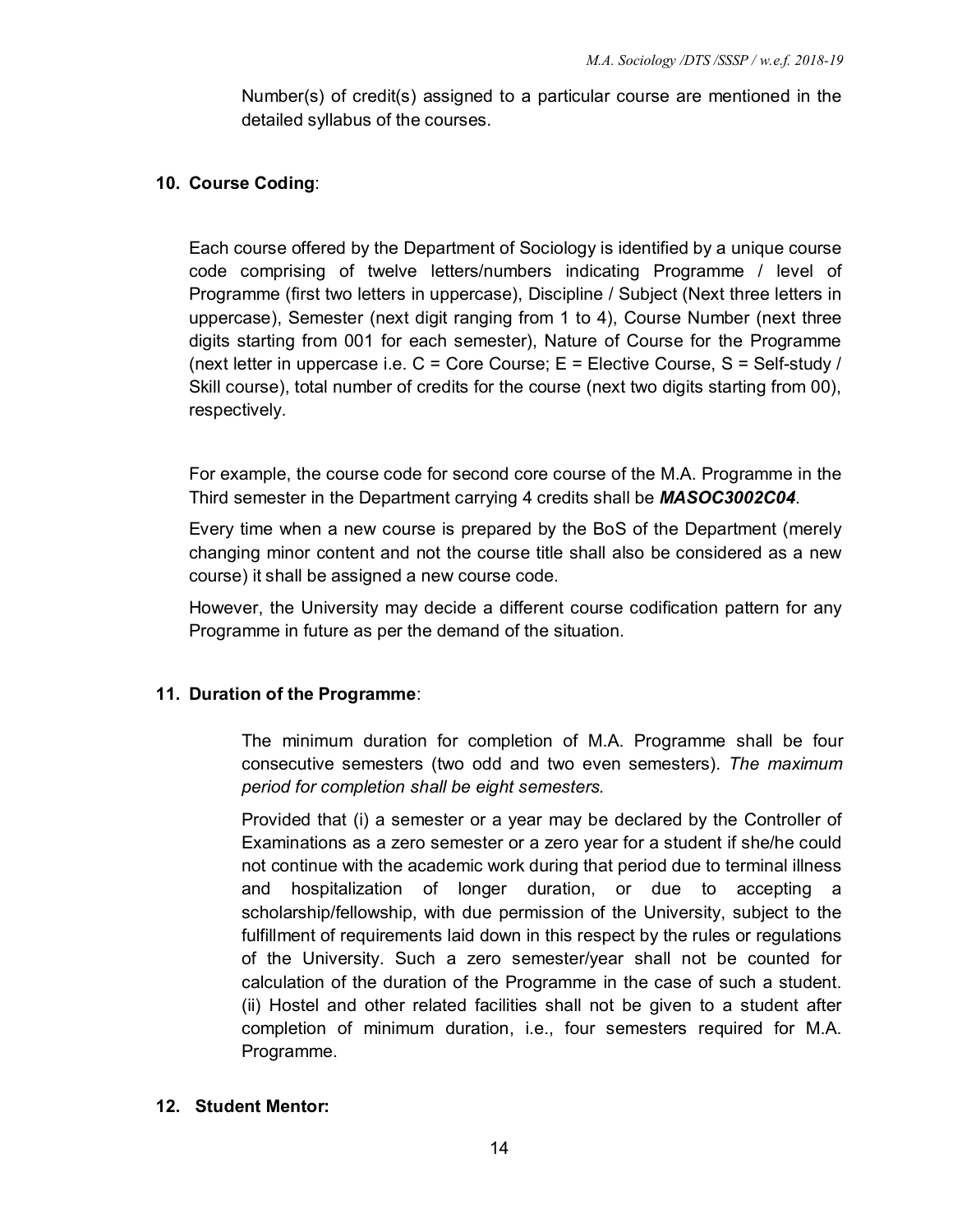Number(s) of credit(s) assigned to a particular course are mentioned in the detailed syllabus of the courses.

# **10. Course Coding**:

Each course offered by the Department of Sociology is identified by a unique course code comprising of twelve letters/numbers indicating Programme / level of Programme (first two letters in uppercase), Discipline / Subject (Next three letters in uppercase), Semester (next digit ranging from 1 to 4), Course Number (next three digits starting from 001 for each semester), Nature of Course for the Programme (next letter in uppercase i.e.  $C =$  Core Course;  $E =$  Elective Course,  $S =$  Self-study / Skill course), total number of credits for the course (next two digits starting from 00), respectively.

For example, the course code for second core course of the M.A. Programme in the Third semester in the Department carrying 4 credits shall be *MASOC3002C04*.

Every time when a new course is prepared by the BoS of the Department (merely changing minor content and not the course title shall also be considered as a new course) it shall be assigned a new course code.

However, the University may decide a different course codification pattern for any Programme in future as per the demand of the situation.

# **11. Duration of the Programme**:

The minimum duration for completion of M.A. Programme shall be four consecutive semesters (two odd and two even semesters). *The maximum period for completion shall be eight semesters.* 

Provided that (i) a semester or a year may be declared by the Controller of Examinations as a zero semester or a zero year for a student if she/he could not continue with the academic work during that period due to terminal illness and hospitalization of longer duration, or due to accepting a scholarship/fellowship, with due permission of the University, subject to the fulfillment of requirements laid down in this respect by the rules or regulations of the University. Such a zero semester/year shall not be counted for calculation of the duration of the Programme in the case of such a student. (ii) Hostel and other related facilities shall not be given to a student after completion of minimum duration, i.e., four semesters required for M.A. Programme.

#### **12. Student Mentor:**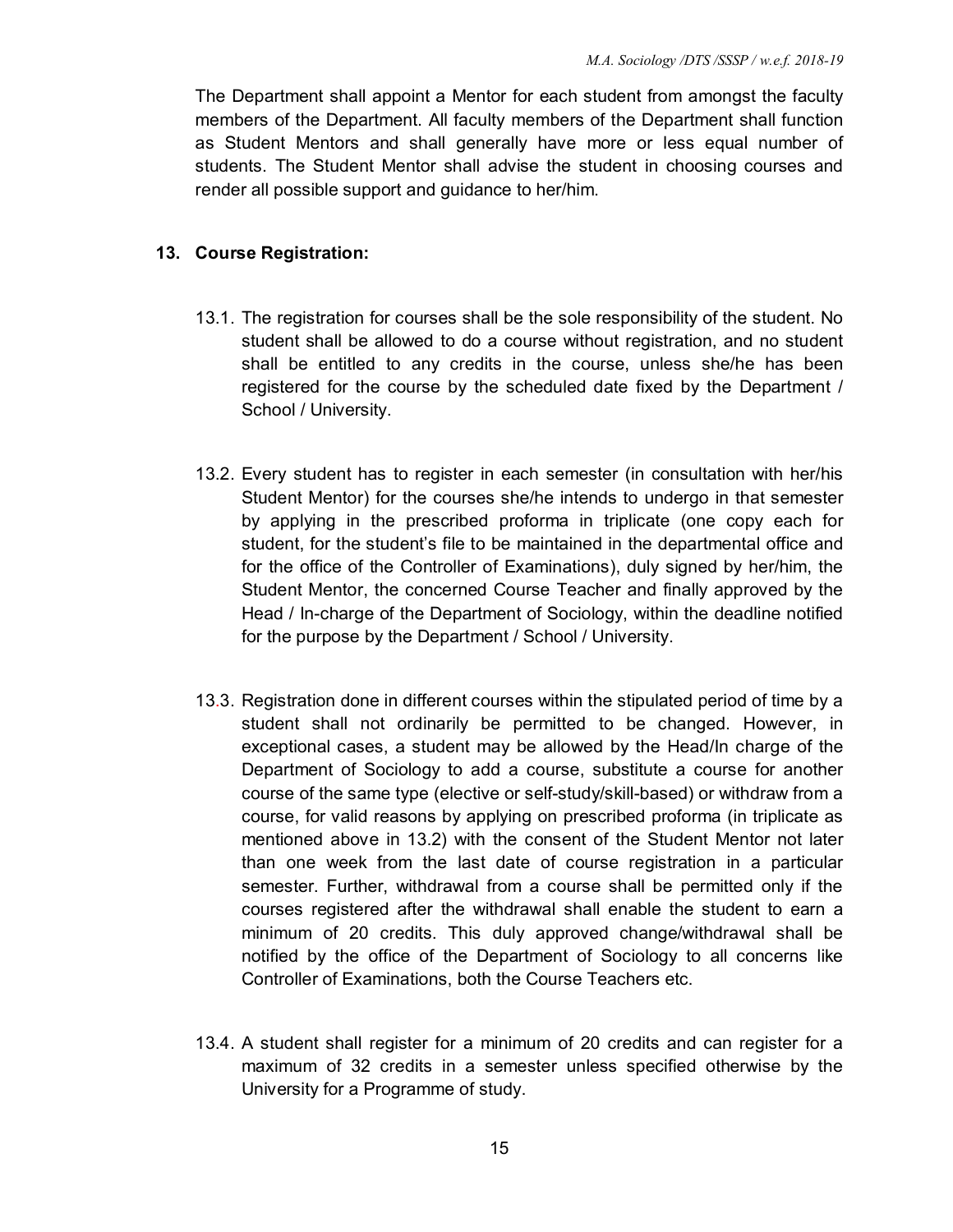The Department shall appoint a Mentor for each student from amongst the faculty members of the Department. All faculty members of the Department shall function as Student Mentors and shall generally have more or less equal number of students. The Student Mentor shall advise the student in choosing courses and render all possible support and guidance to her/him.

### **13. Course Registration:**

- 13.1. The registration for courses shall be the sole responsibility of the student. No student shall be allowed to do a course without registration, and no student shall be entitled to any credits in the course, unless she/he has been registered for the course by the scheduled date fixed by the Department / School / University.
- 13.2. Every student has to register in each semester (in consultation with her/his Student Mentor) for the courses she/he intends to undergo in that semester by applying in the prescribed proforma in triplicate (one copy each for student, for the student's file to be maintained in the departmental office and for the office of the Controller of Examinations), duly signed by her/him, the Student Mentor, the concerned Course Teacher and finally approved by the Head / In-charge of the Department of Sociology, within the deadline notified for the purpose by the Department / School / University.
- 13.3. Registration done in different courses within the stipulated period of time by a student shall not ordinarily be permitted to be changed. However, in exceptional cases, a student may be allowed by the Head/In charge of the Department of Sociology to add a course, substitute a course for another course of the same type (elective or self-study/skill-based) or withdraw from a course, for valid reasons by applying on prescribed proforma (in triplicate as mentioned above in 13.2) with the consent of the Student Mentor not later than one week from the last date of course registration in a particular semester. Further, withdrawal from a course shall be permitted only if the courses registered after the withdrawal shall enable the student to earn a minimum of 20 credits. This duly approved change/withdrawal shall be notified by the office of the Department of Sociology to all concerns like Controller of Examinations, both the Course Teachers etc.
- 13.4. A student shall register for a minimum of 20 credits and can register for a maximum of 32 credits in a semester unless specified otherwise by the University for a Programme of study.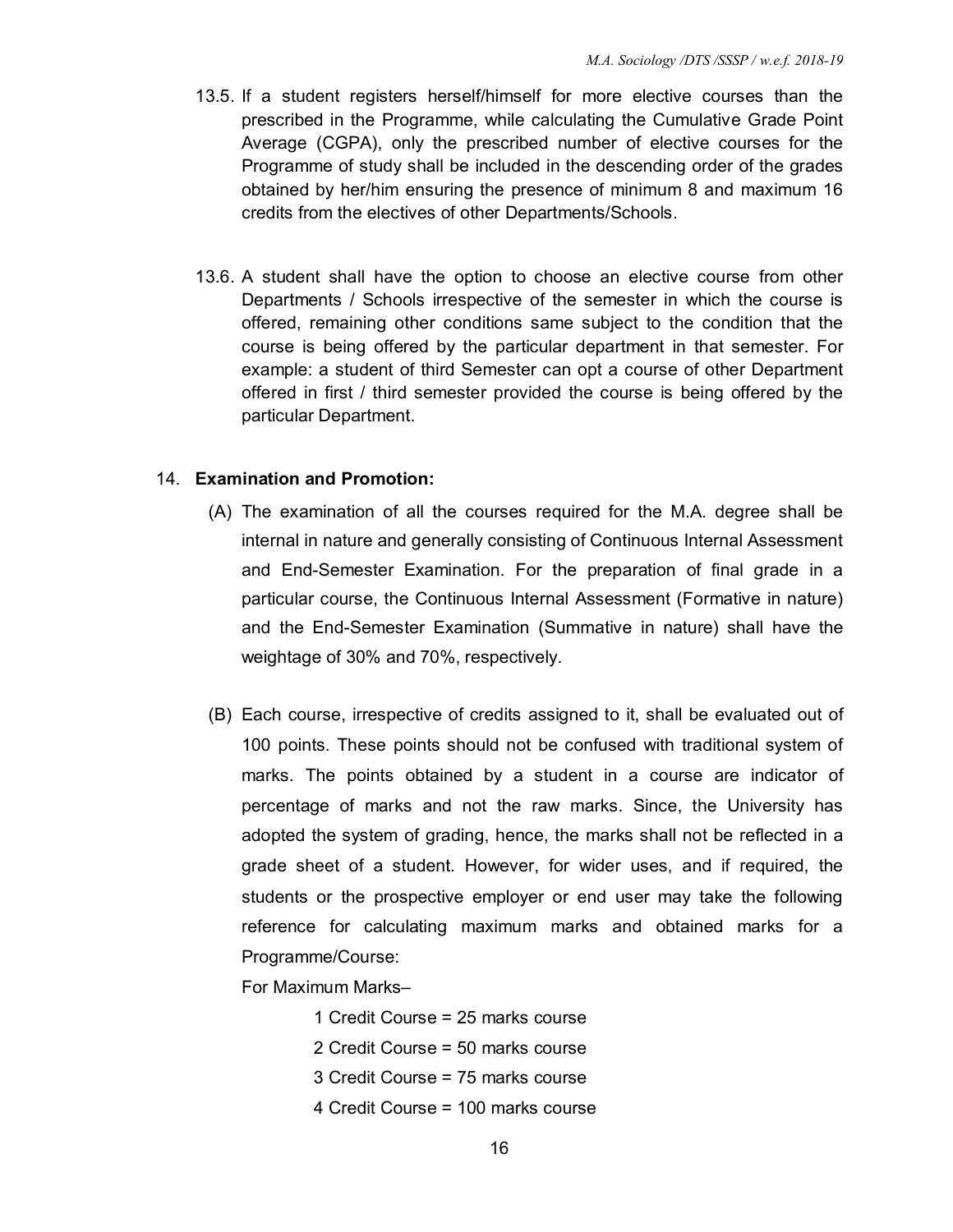- 13.5. If a student registers herself/himself for more elective courses than the prescribed in the Programme, while calculating the Cumulative Grade Point Average (CGPA), only the prescribed number of elective courses for the Programme of study shall be included in the descending order of the grades obtained by her/him ensuring the presence of minimum 8 and maximum 16 credits from the electives of other Departments/Schools.
- 13.6. A student shall have the option to choose an elective course from other Departments / Schools irrespective of the semester in which the course is offered, remaining other conditions same subject to the condition that the course is being offered by the particular department in that semester. For example: a student of third Semester can opt a course of other Department offered in first / third semester provided the course is being offered by the particular Department.

#### 14. **Examination and Promotion:**

- (A) The examination of all the courses required for the M.A. degree shall be internal in nature and generally consisting of Continuous Internal Assessment and End-Semester Examination. For the preparation of final grade in a particular course, the Continuous Internal Assessment (Formative in nature) and the End-Semester Examination (Summative in nature) shall have the weightage of 30% and 70%, respectively.
- (B) Each course, irrespective of credits assigned to it, shall be evaluated out of 100 points. These points should not be confused with traditional system of marks. The points obtained by a student in a course are indicator of percentage of marks and not the raw marks. Since, the University has adopted the system of grading, hence, the marks shall not be reflected in a grade sheet of a student. However, for wider uses, and if required, the students or the prospective employer or end user may take the following reference for calculating maximum marks and obtained marks for a Programme/Course:

For Maximum Marks–

- 1 Credit Course = 25 marks course
- 2 Credit Course = 50 marks course
- 3 Credit Course = 75 marks course
- 4 Credit Course = 100 marks course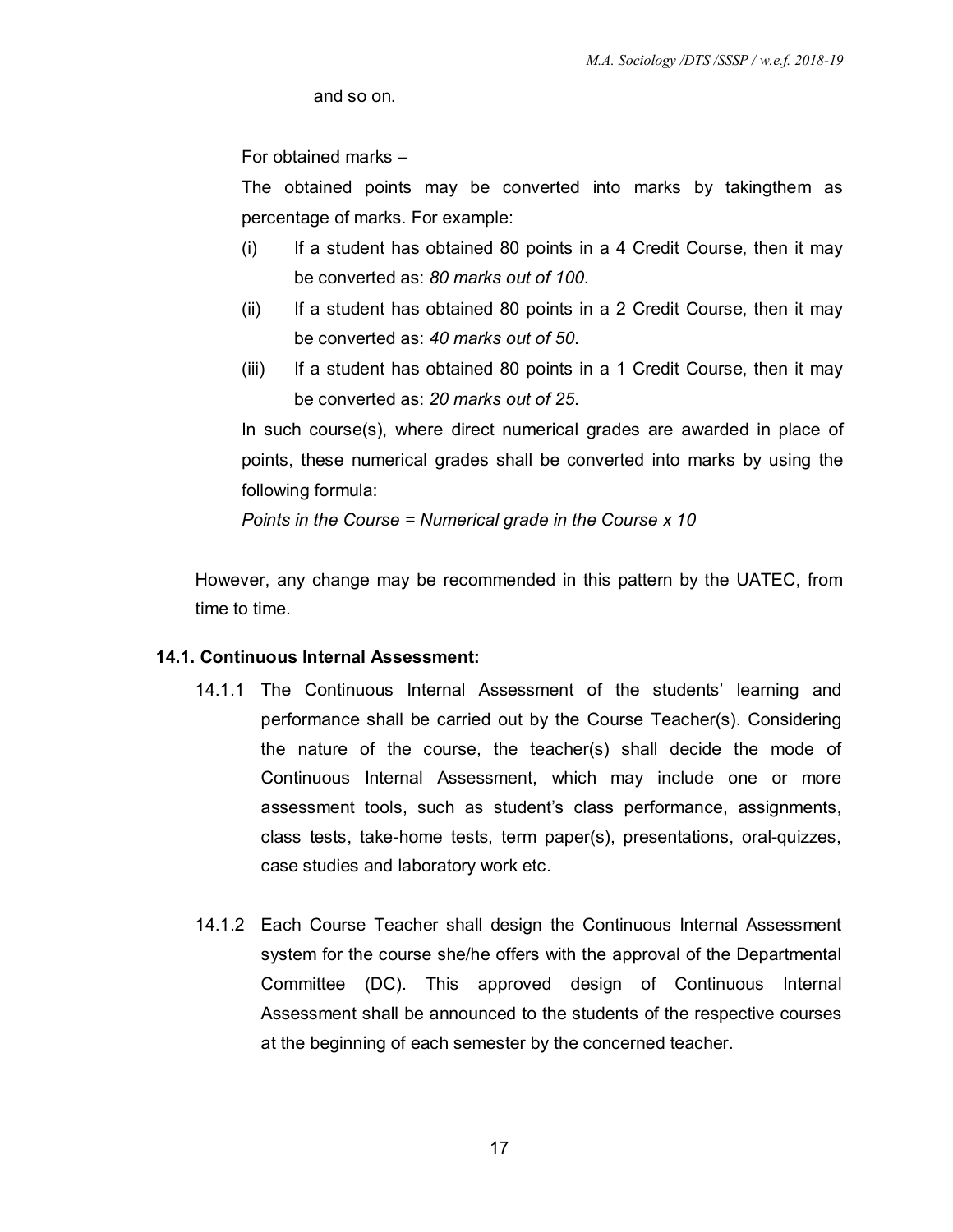and so on.

For obtained marks –

The obtained points may be converted into marks by takingthem as percentage of marks. For example:

- (i) If a student has obtained 80 points in a 4 Credit Course, then it may be converted as: *80 marks out of 100*.
- (ii) If a student has obtained 80 points in a 2 Credit Course, then it may be converted as: *40 marks out of 50*.
- (iii) If a student has obtained 80 points in a 1 Credit Course, then it may be converted as: *20 marks out of 25*.

In such course(s), where direct numerical grades are awarded in place of points, these numerical grades shall be converted into marks by using the following formula:

*Points in the Course = Numerical grade in the Course x 10* 

 However, any change may be recommended in this pattern by the UATEC, from time to time.

#### **14.1. Continuous Internal Assessment:**

- 14.1.1 The Continuous Internal Assessment of the students' learning and performance shall be carried out by the Course Teacher(s). Considering the nature of the course, the teacher(s) shall decide the mode of Continuous Internal Assessment, which may include one or more assessment tools, such as student's class performance, assignments, class tests, take-home tests, term paper(s), presentations, oral-quizzes, case studies and laboratory work etc.
- 14.1.2 Each Course Teacher shall design the Continuous Internal Assessment system for the course she/he offers with the approval of the Departmental Committee (DC). This approved design of Continuous Internal Assessment shall be announced to the students of the respective courses at the beginning of each semester by the concerned teacher.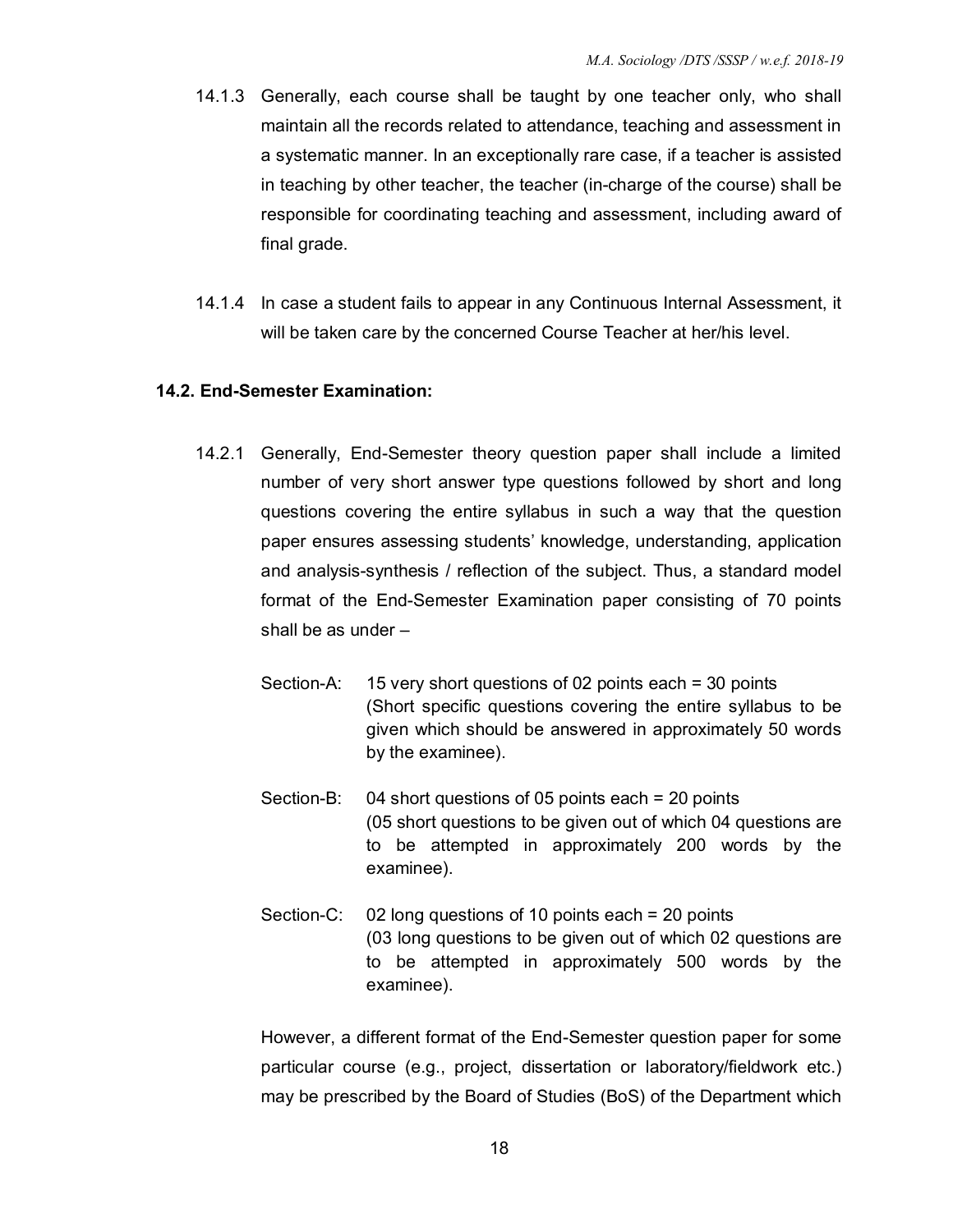- 14.1.3 Generally, each course shall be taught by one teacher only, who shall maintain all the records related to attendance, teaching and assessment in a systematic manner. In an exceptionally rare case, if a teacher is assisted in teaching by other teacher, the teacher (in-charge of the course) shall be responsible for coordinating teaching and assessment, including award of final grade.
- 14.1.4 In case a student fails to appear in any Continuous Internal Assessment, it will be taken care by the concerned Course Teacher at her/his level.

#### **14.2. End-Semester Examination:**

- 14.2.1 Generally, End-Semester theory question paper shall include a limited number of very short answer type questions followed by short and long questions covering the entire syllabus in such a way that the question paper ensures assessing students' knowledge, understanding, application and analysis-synthesis / reflection of the subject. Thus, a standard model format of the End-Semester Examination paper consisting of 70 points shall be as under –
	- Section-A: 15 very short questions of 02 points each = 30 points (Short specific questions covering the entire syllabus to be given which should be answered in approximately 50 words by the examinee).
	- Section-B: 04 short questions of 05 points each = 20 points (05 short questions to be given out of which 04 questions are to be attempted in approximately 200 words by the examinee).
	- Section-C: 02 long questions of 10 points each = 20 points (03 long questions to be given out of which 02 questions are to be attempted in approximately 500 words by the examinee).

However, a different format of the End-Semester question paper for some particular course (e.g., project, dissertation or laboratory/fieldwork etc.) may be prescribed by the Board of Studies (BoS) of the Department which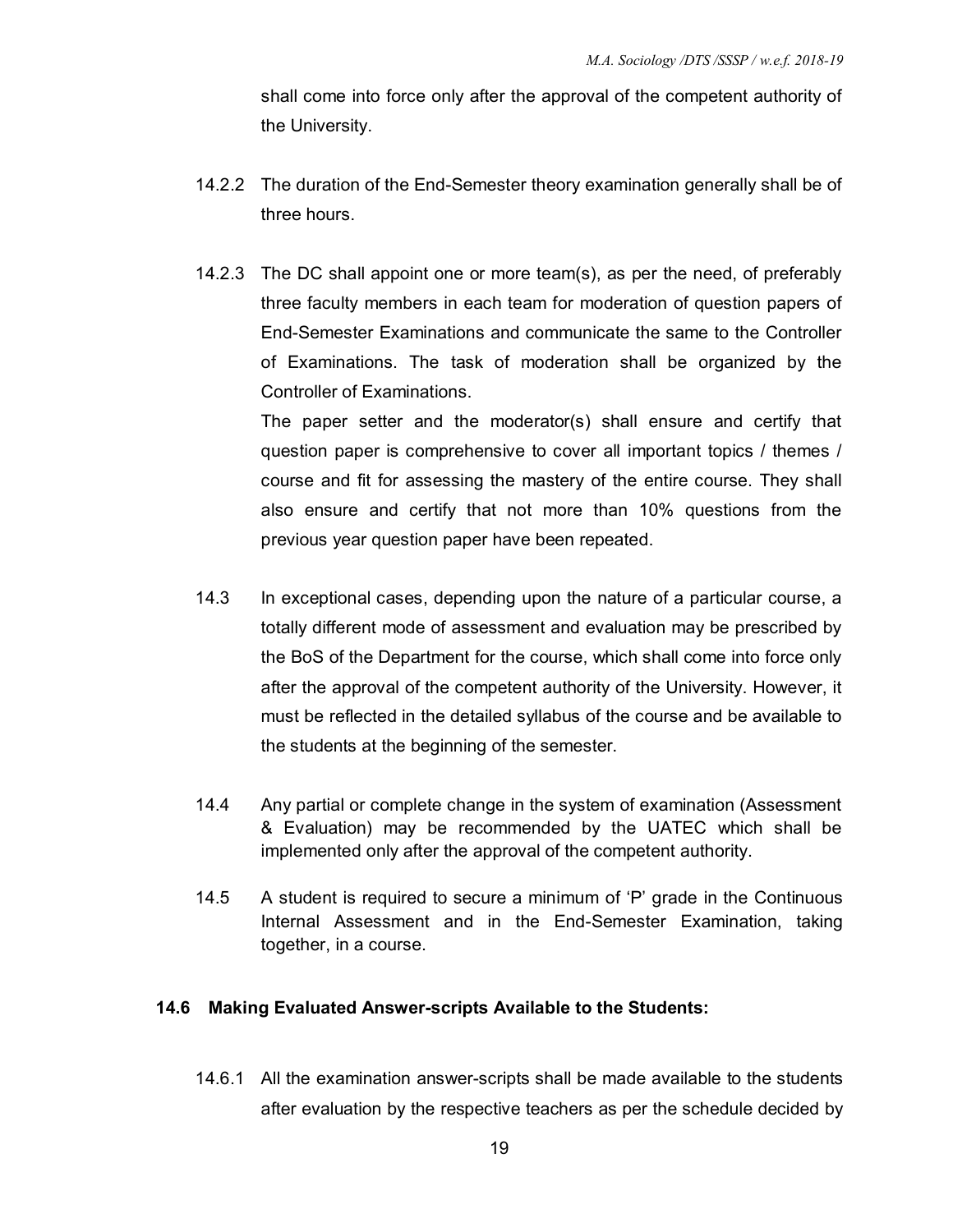shall come into force only after the approval of the competent authority of the University.

- 14.2.2 The duration of the End-Semester theory examination generally shall be of three hours.
- 14.2.3 The DC shall appoint one or more team(s), as per the need, of preferably three faculty members in each team for moderation of question papers of End-Semester Examinations and communicate the same to the Controller of Examinations. The task of moderation shall be organized by the Controller of Examinations.

The paper setter and the moderator(s) shall ensure and certify that question paper is comprehensive to cover all important topics / themes / course and fit for assessing the mastery of the entire course. They shall also ensure and certify that not more than 10% questions from the previous year question paper have been repeated.

- 14.3 In exceptional cases, depending upon the nature of a particular course, a totally different mode of assessment and evaluation may be prescribed by the BoS of the Department for the course, which shall come into force only after the approval of the competent authority of the University. However, it must be reflected in the detailed syllabus of the course and be available to the students at the beginning of the semester.
- 14.4 Any partial or complete change in the system of examination (Assessment & Evaluation) may be recommended by the UATEC which shall be implemented only after the approval of the competent authority.
- 14.5 A student is required to secure a minimum of 'P' grade in the Continuous Internal Assessment and in the End-Semester Examination, taking together, in a course.

#### **14.6 Making Evaluated Answer-scripts Available to the Students:**

14.6.1 All the examination answer-scripts shall be made available to the students after evaluation by the respective teachers as per the schedule decided by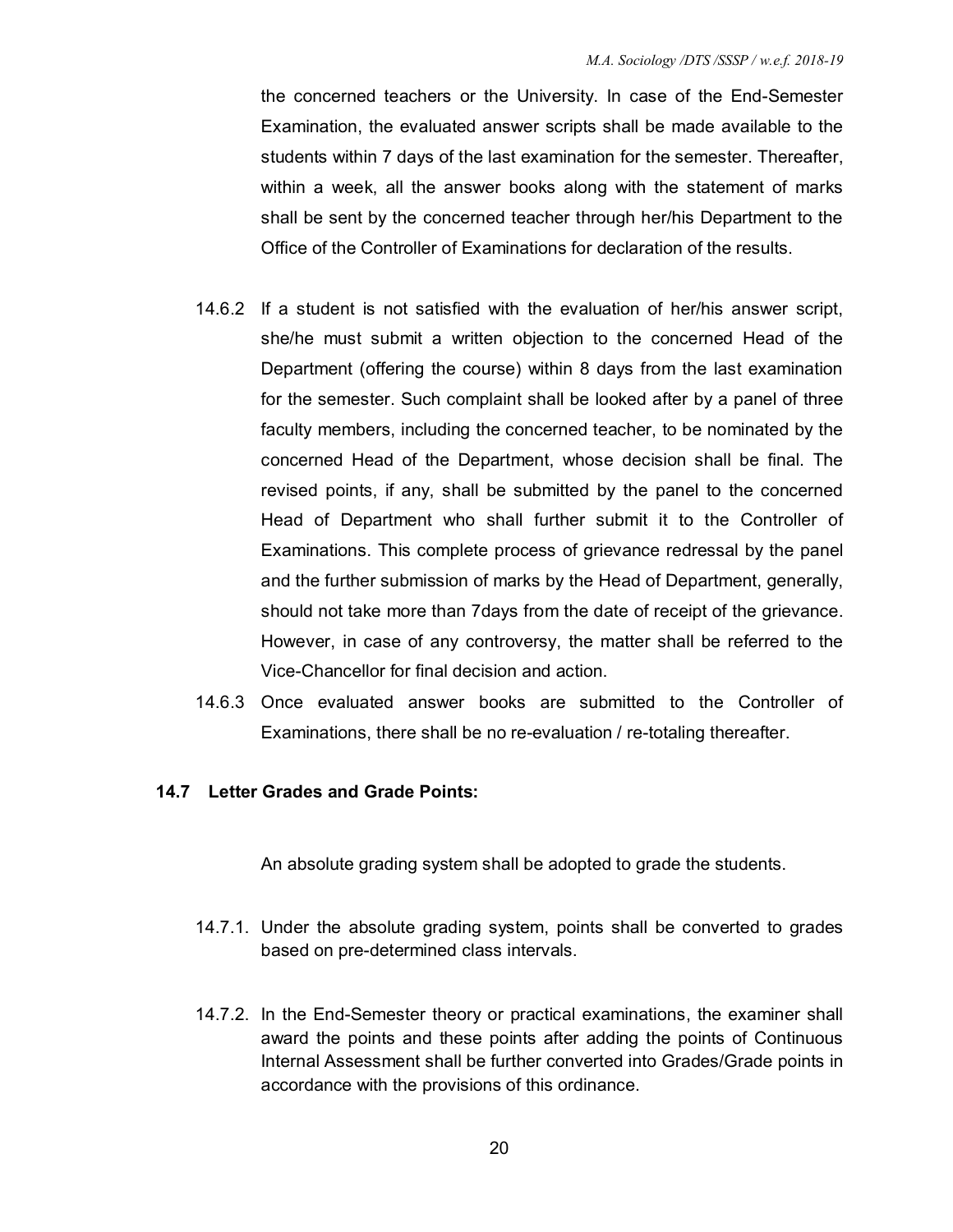the concerned teachers or the University. In case of the End-Semester Examination, the evaluated answer scripts shall be made available to the students within 7 days of the last examination for the semester. Thereafter, within a week, all the answer books along with the statement of marks shall be sent by the concerned teacher through her/his Department to the Office of the Controller of Examinations for declaration of the results.

- 14.6.2 If a student is not satisfied with the evaluation of her/his answer script, she/he must submit a written objection to the concerned Head of the Department (offering the course) within 8 days from the last examination for the semester. Such complaint shall be looked after by a panel of three faculty members, including the concerned teacher, to be nominated by the concerned Head of the Department, whose decision shall be final. The revised points, if any, shall be submitted by the panel to the concerned Head of Department who shall further submit it to the Controller of Examinations. This complete process of grievance redressal by the panel and the further submission of marks by the Head of Department, generally, should not take more than 7days from the date of receipt of the grievance. However, in case of any controversy, the matter shall be referred to the Vice-Chancellor for final decision and action.
- 14.6.3 Once evaluated answer books are submitted to the Controller of Examinations, there shall be no re-evaluation / re-totaling thereafter.

#### **14.7 Letter Grades and Grade Points:**

An absolute grading system shall be adopted to grade the students.

- 14.7.1. Under the absolute grading system, points shall be converted to grades based on pre-determined class intervals.
- 14.7.2. In the End-Semester theory or practical examinations, the examiner shall award the points and these points after adding the points of Continuous Internal Assessment shall be further converted into Grades/Grade points in accordance with the provisions of this ordinance.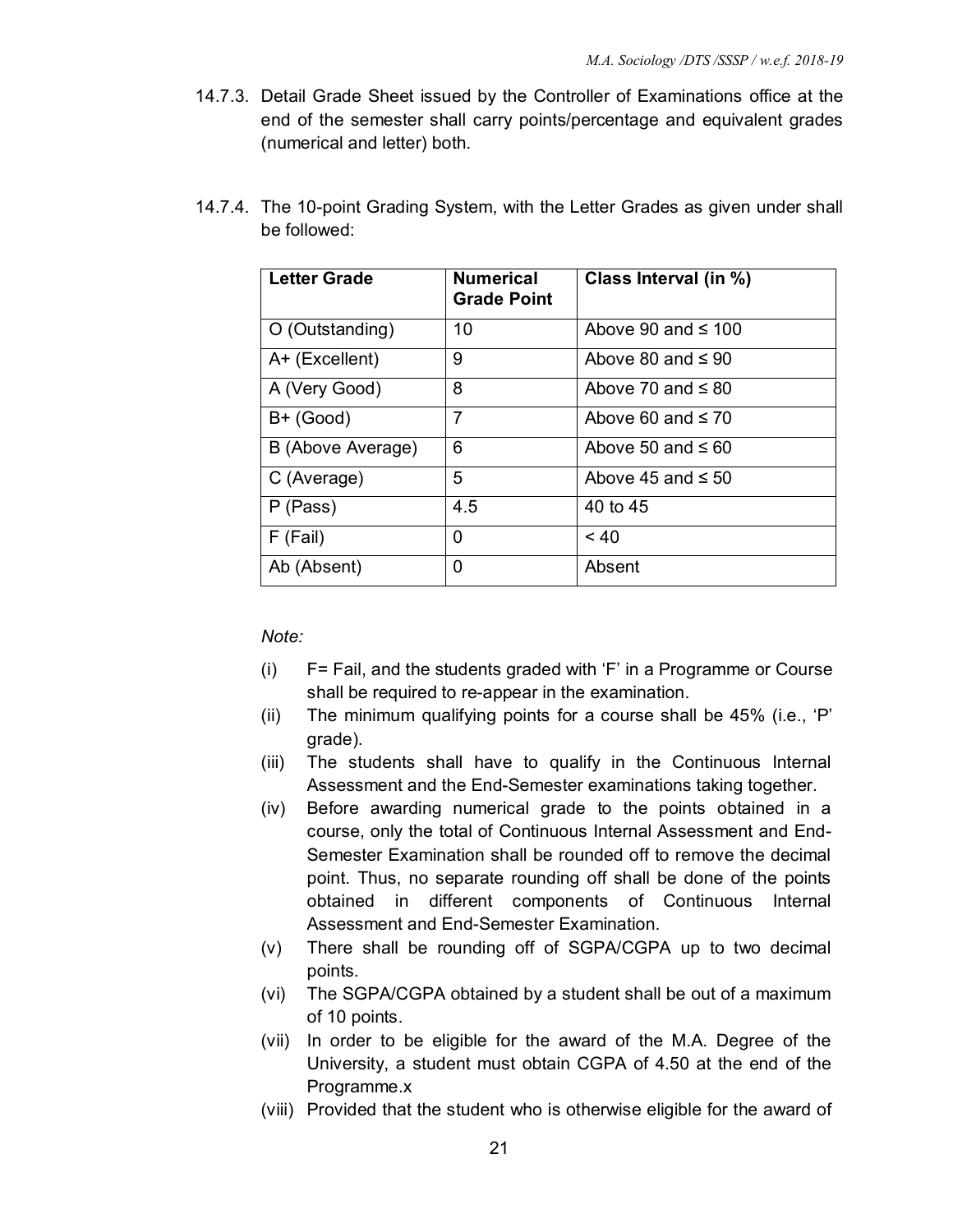14.7.3. Detail Grade Sheet issued by the Controller of Examinations office at the end of the semester shall carry points/percentage and equivalent grades (numerical and letter) both.

| <b>Letter Grade</b> | <b>Numerical</b><br><b>Grade Point</b> | Class Interval (in %)   |
|---------------------|----------------------------------------|-------------------------|
| O (Outstanding)     | 10                                     | Above 90 and $\leq$ 100 |
| A+ (Excellent)      | 9                                      | Above 80 and $\leq 90$  |
| A (Very Good)       | 8                                      | Above 70 and $\leq 80$  |
| $B+$ (Good)         | $\overline{7}$                         | Above 60 and $\leq 70$  |
| B (Above Average)   | 6                                      | Above 50 and $\leq 60$  |
| C (Average)         | 5                                      | Above 45 and $\leq 50$  |
| P (Pass)            | 4.5                                    | 40 to 45                |
| F (Fail)            | 0                                      | $~<$ 40                 |
| Ab (Absent)         | 0                                      | Absent                  |

14.7.4. The 10-point Grading System, with the Letter Grades as given under shall be followed:

*Note:* 

- (i) F= Fail, and the students graded with 'F' in a Programme or Course shall be required to re-appear in the examination.
- (ii) The minimum qualifying points for a course shall be 45% (i.e., 'P' grade).
- (iii) The students shall have to qualify in the Continuous Internal Assessment and the End-Semester examinations taking together.
- (iv) Before awarding numerical grade to the points obtained in a course, only the total of Continuous Internal Assessment and End-Semester Examination shall be rounded off to remove the decimal point. Thus, no separate rounding off shall be done of the points obtained in different components of Continuous Internal Assessment and End-Semester Examination.
- (v) There shall be rounding off of SGPA/CGPA up to two decimal points.
- (vi) The SGPA/CGPA obtained by a student shall be out of a maximum of 10 points.
- (vii) In order to be eligible for the award of the M.A. Degree of the University, a student must obtain CGPA of 4.50 at the end of the Programme.x
- (viii) Provided that the student who is otherwise eligible for the award of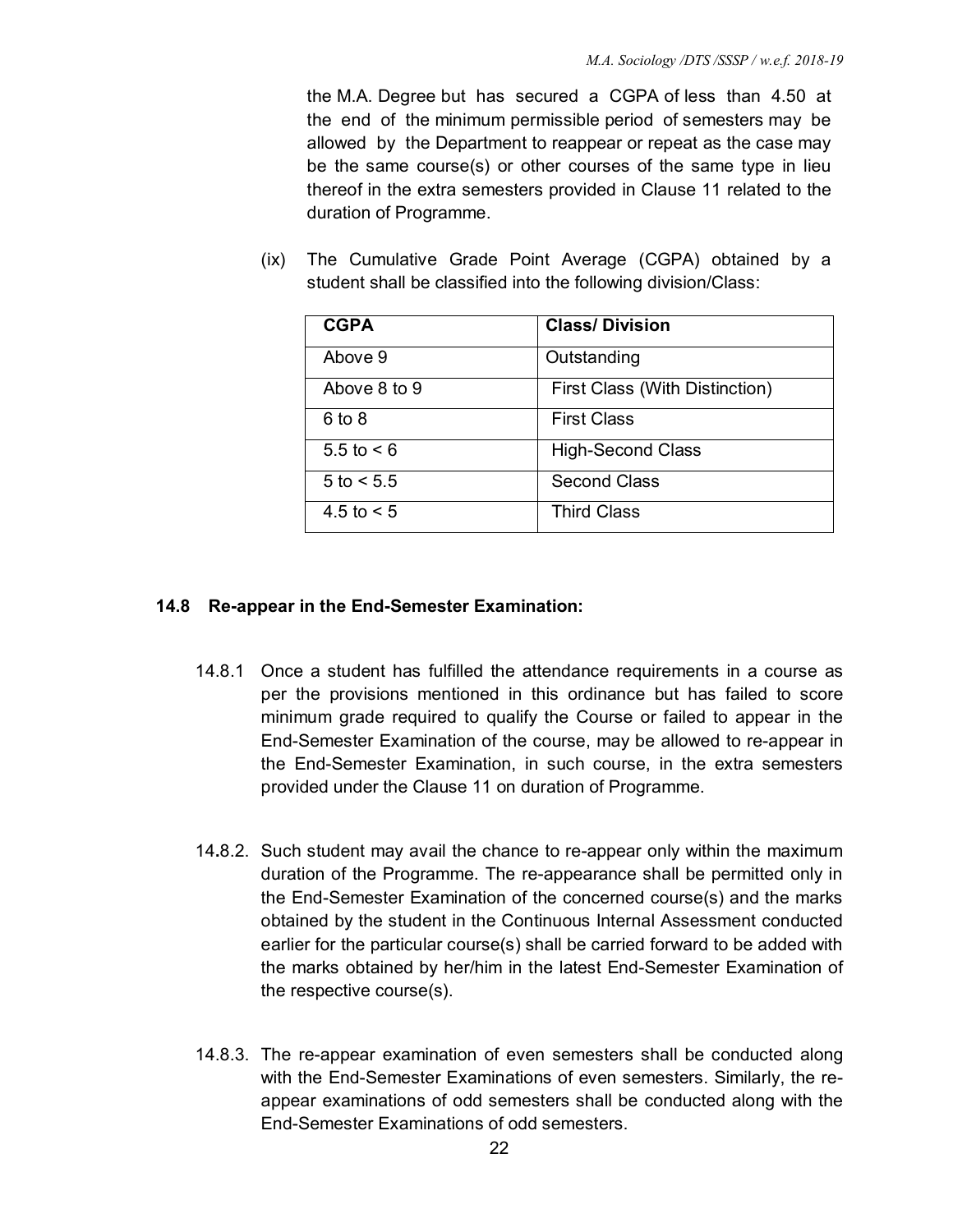the M.A. Degree but has secured a CGPA of less than 4.50 at the end of the minimum permissible period of semesters may be allowed by the Department to reappear or repeat as the case may be the same course(s) or other courses of the same type in lieu thereof in the extra semesters provided in Clause 11 related to the duration of Programme.

(ix) The Cumulative Grade Point Average (CGPA) obtained by a student shall be classified into the following division/Class:

| <b>CGPA</b>    | <b>Class/Division</b>          |
|----------------|--------------------------------|
| Above 9        | Outstanding                    |
| Above 8 to 9   | First Class (With Distinction) |
| $6$ to $8$     | <b>First Class</b>             |
| 5.5 to $< 6$   | <b>High-Second Class</b>       |
| $5$ to $< 5.5$ | <b>Second Class</b>            |
| 4.5 to $< 5$   | <b>Third Class</b>             |

# **14.8 Re-appear in the End-Semester Examination:**

- 14.8.1 Once a student has fulfilled the attendance requirements in a course as per the provisions mentioned in this ordinance but has failed to score minimum grade required to qualify the Course or failed to appear in the End-Semester Examination of the course, may be allowed to re-appear in the End-Semester Examination, in such course, in the extra semesters provided under the Clause 11 on duration of Programme.
- 14**.**8.2. Such student may avail the chance to re-appear only within the maximum duration of the Programme. The re-appearance shall be permitted only in the End-Semester Examination of the concerned course(s) and the marks obtained by the student in the Continuous Internal Assessment conducted earlier for the particular course(s) shall be carried forward to be added with the marks obtained by her/him in the latest End-Semester Examination of the respective course(s).
- 14.8.3. The re-appear examination of even semesters shall be conducted along with the End-Semester Examinations of even semesters. Similarly, the reappear examinations of odd semesters shall be conducted along with the End-Semester Examinations of odd semesters.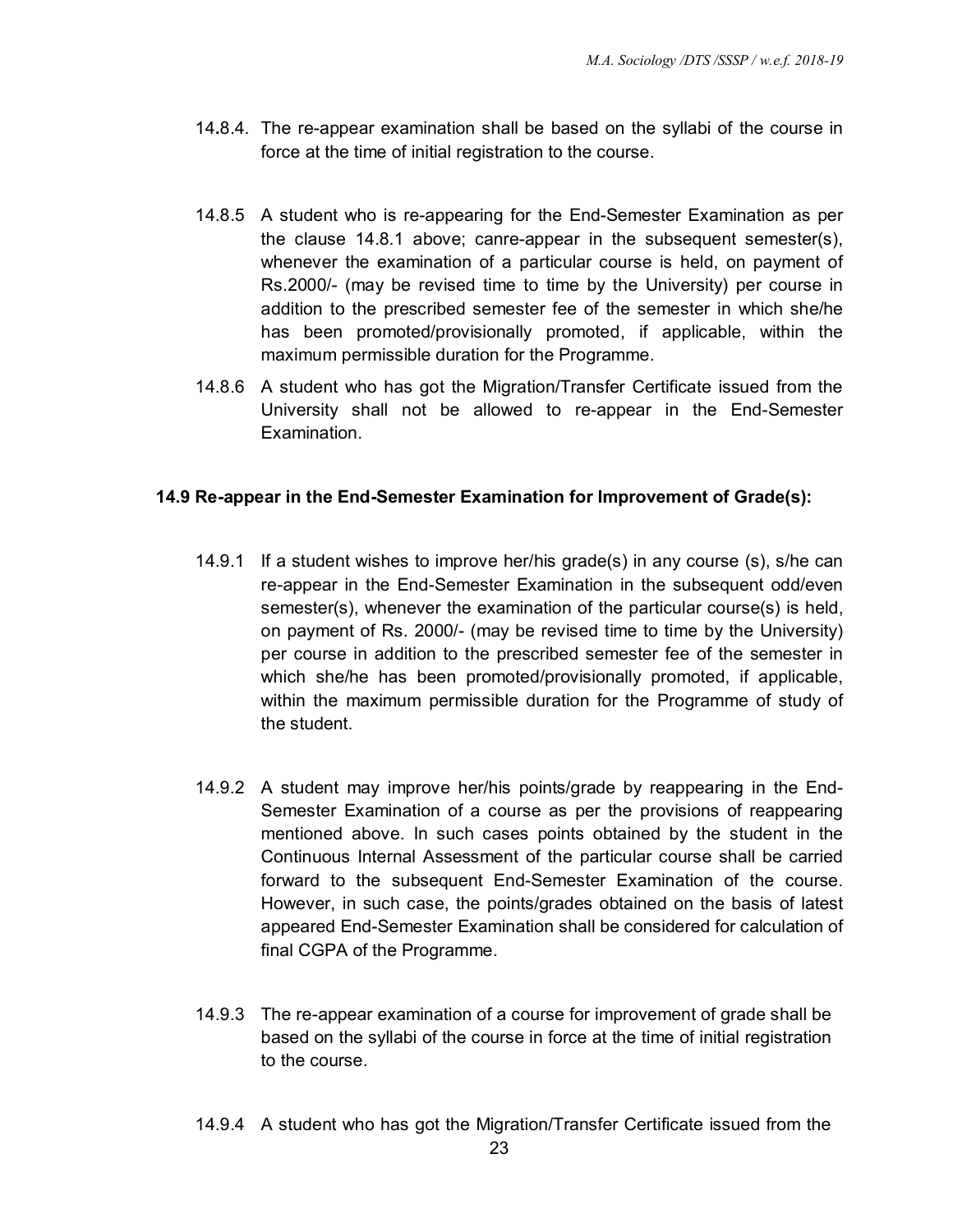- 14**.**8.4. The re-appear examination shall be based on the syllabi of the course in force at the time of initial registration to the course.
- 14.8.5 A student who is re-appearing for the End-Semester Examination as per the clause 14.8.1 above; canre-appear in the subsequent semester(s), whenever the examination of a particular course is held, on payment of Rs.2000/- (may be revised time to time by the University) per course in addition to the prescribed semester fee of the semester in which she/he has been promoted/provisionally promoted, if applicable, within the maximum permissible duration for the Programme.
- 14.8.6 A student who has got the Migration/Transfer Certificate issued from the University shall not be allowed to re-appear in the End-Semester Examination.

# **14.9 Re-appear in the End-Semester Examination for Improvement of Grade(s):**

- 14.9.1 If a student wishes to improve her/his grade(s) in any course (s), s/he can re-appear in the End-Semester Examination in the subsequent odd/even semester(s), whenever the examination of the particular course(s) is held, on payment of Rs. 2000/- (may be revised time to time by the University) per course in addition to the prescribed semester fee of the semester in which she/he has been promoted/provisionally promoted, if applicable, within the maximum permissible duration for the Programme of study of the student.
- 14.9.2 A student may improve her/his points/grade by reappearing in the End-Semester Examination of a course as per the provisions of reappearing mentioned above. In such cases points obtained by the student in the Continuous Internal Assessment of the particular course shall be carried forward to the subsequent End-Semester Examination of the course. However, in such case, the points/grades obtained on the basis of latest appeared End-Semester Examination shall be considered for calculation of final CGPA of the Programme.
- 14.9.3 The re-appear examination of a course for improvement of grade shall be based on the syllabi of the course in force at the time of initial registration to the course.
- 14.9.4 A student who has got the Migration/Transfer Certificate issued from the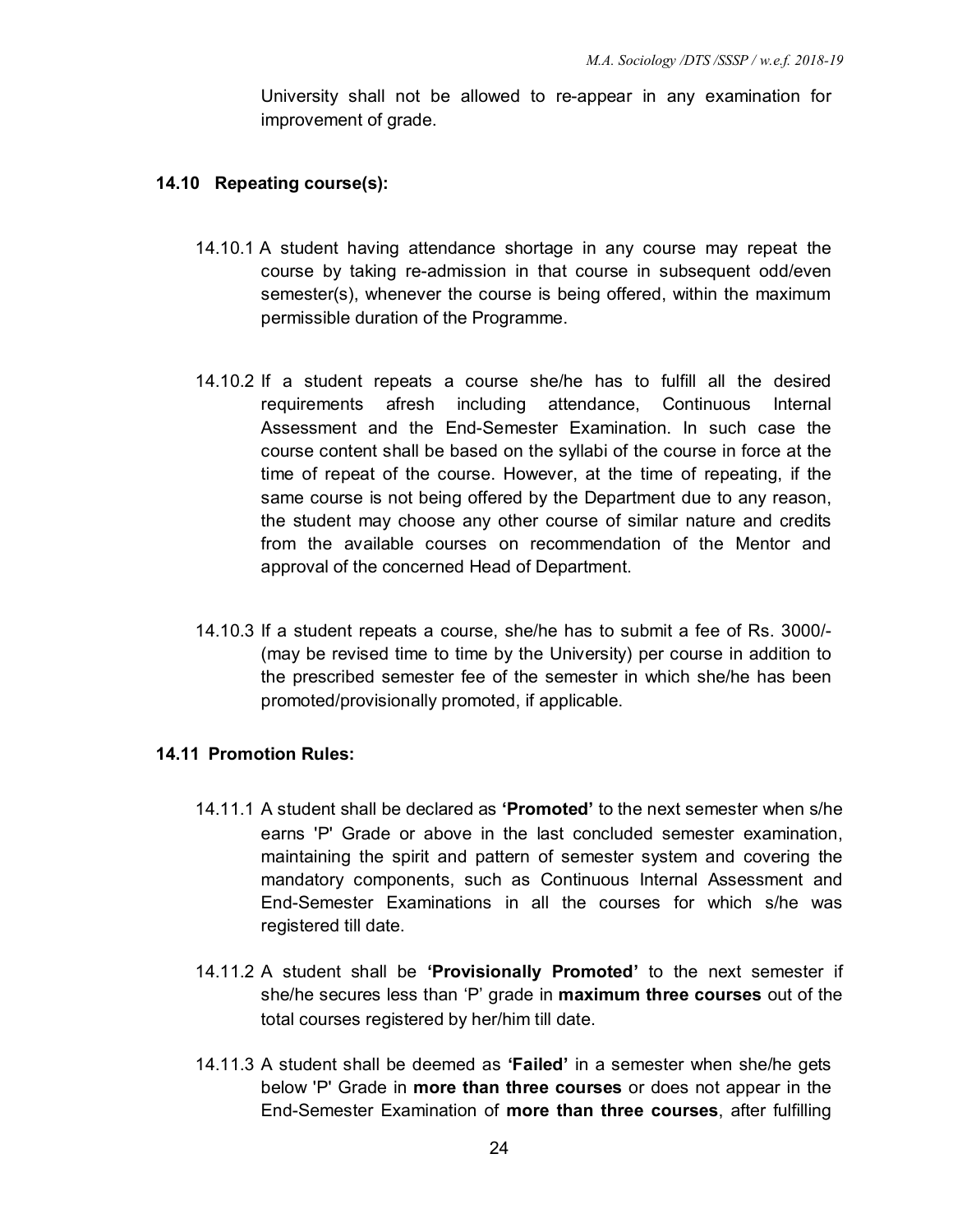University shall not be allowed to re-appear in any examination for improvement of grade.

#### **14.10 Repeating course(s):**

- 14.10.1 A student having attendance shortage in any course may repeat the course by taking re-admission in that course in subsequent odd/even semester(s), whenever the course is being offered, within the maximum permissible duration of the Programme.
- 14.10.2 If a student repeats a course she/he has to fulfill all the desired requirements afresh including attendance, Continuous Internal Assessment and the End-Semester Examination. In such case the course content shall be based on the syllabi of the course in force at the time of repeat of the course. However, at the time of repeating, if the same course is not being offered by the Department due to any reason, the student may choose any other course of similar nature and credits from the available courses on recommendation of the Mentor and approval of the concerned Head of Department.
- 14.10.3 If a student repeats a course, she/he has to submit a fee of Rs. 3000/- (may be revised time to time by the University) per course in addition to the prescribed semester fee of the semester in which she/he has been promoted/provisionally promoted, if applicable.

#### **14.11 Promotion Rules:**

- 14.11.1 A student shall be declared as **'Promoted'** to the next semester when s/he earns 'P' Grade or above in the last concluded semester examination, maintaining the spirit and pattern of semester system and covering the mandatory components, such as Continuous Internal Assessment and End-Semester Examinations in all the courses for which s/he was registered till date.
- 14.11.2 A student shall be **'Provisionally Promoted'** to the next semester if she/he secures less than 'P' grade in **maximum three courses** out of the total courses registered by her/him till date.
- 14.11.3 A student shall be deemed as **'Failed'** in a semester when she/he gets below 'P' Grade in **more than three courses** or does not appear in the End-Semester Examination of **more than three courses**, after fulfilling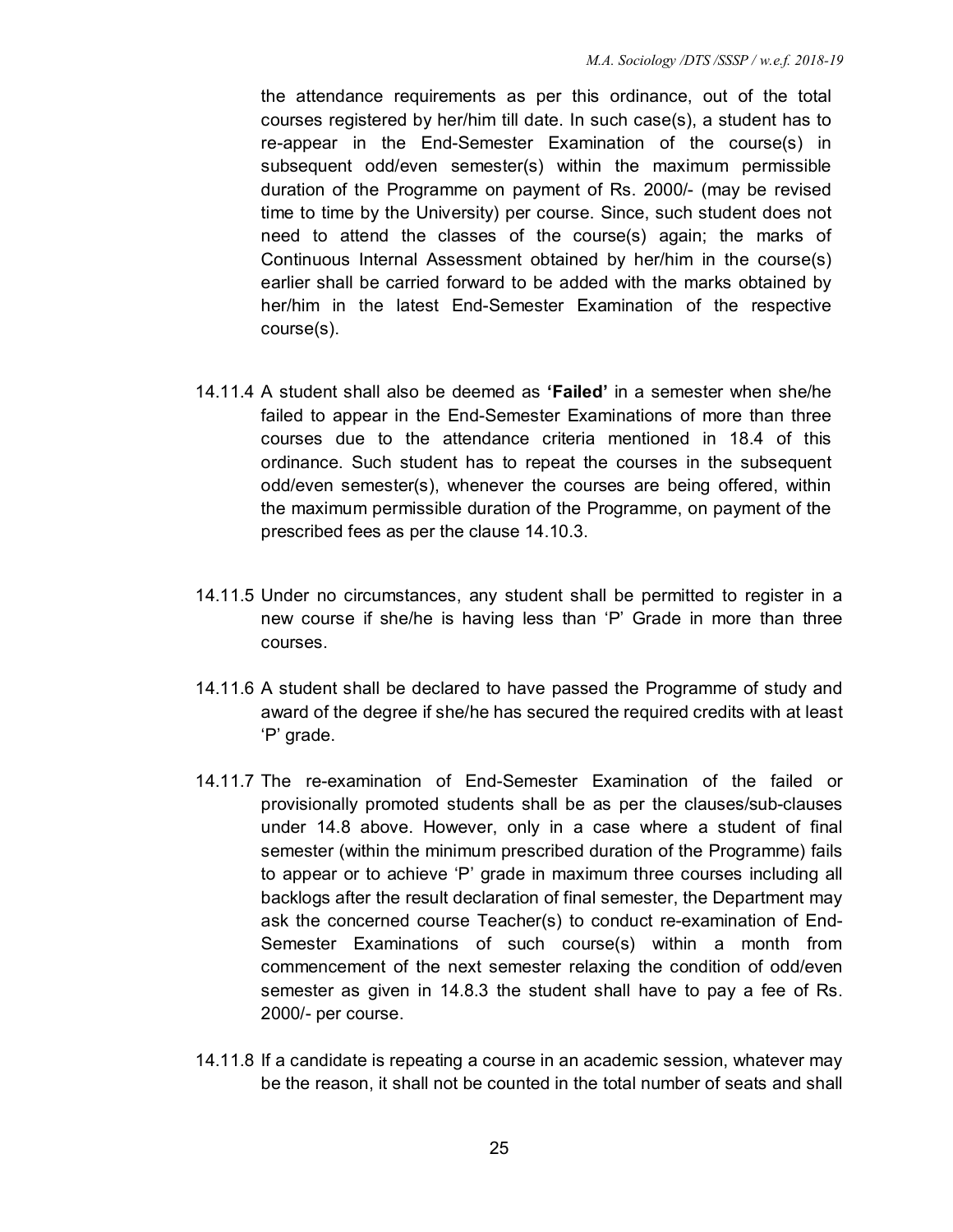the attendance requirements as per this ordinance, out of the total courses registered by her/him till date. In such case(s), a student has to re-appear in the End-Semester Examination of the course(s) in subsequent odd/even semester(s) within the maximum permissible duration of the Programme on payment of Rs. 2000/- (may be revised time to time by the University) per course. Since, such student does not need to attend the classes of the course(s) again; the marks of Continuous Internal Assessment obtained by her/him in the course(s) earlier shall be carried forward to be added with the marks obtained by her/him in the latest End-Semester Examination of the respective course(s).

- 14.11.4 A student shall also be deemed as **'Failed'** in a semester when she/he failed to appear in the End-Semester Examinations of more than three courses due to the attendance criteria mentioned in 18.4 of this ordinance. Such student has to repeat the courses in the subsequent odd/even semester(s), whenever the courses are being offered, within the maximum permissible duration of the Programme, on payment of the prescribed fees as per the clause 14.10.3.
- 14.11.5 Under no circumstances, any student shall be permitted to register in a new course if she/he is having less than 'P' Grade in more than three courses.
- 14.11.6 A student shall be declared to have passed the Programme of study and award of the degree if she/he has secured the required credits with at least 'P' grade.
- 14.11.7 The re-examination of End-Semester Examination of the failed or provisionally promoted students shall be as per the clauses/sub-clauses under 14.8 above. However, only in a case where a student of final semester (within the minimum prescribed duration of the Programme) fails to appear or to achieve 'P' grade in maximum three courses including all backlogs after the result declaration of final semester, the Department may ask the concerned course Teacher(s) to conduct re-examination of End-Semester Examinations of such course(s) within a month from commencement of the next semester relaxing the condition of odd/even semester as given in 14.8.3 the student shall have to pay a fee of Rs. 2000/- per course.
- 14.11.8 If a candidate is repeating a course in an academic session, whatever may be the reason, it shall not be counted in the total number of seats and shall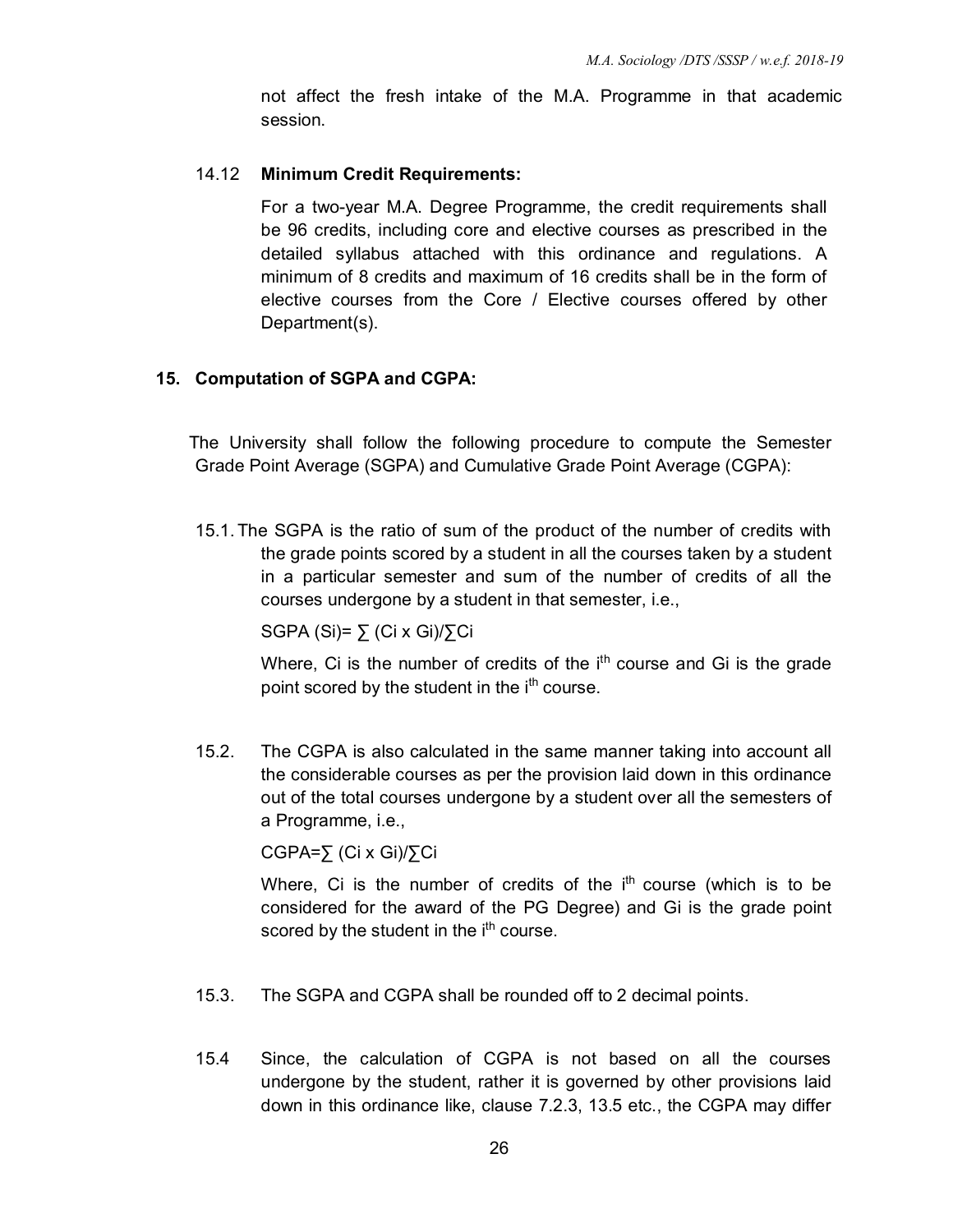not affect the fresh intake of the M.A. Programme in that academic session.

#### 14.12 **Minimum Credit Requirements:**

For a two-year M.A. Degree Programme, the credit requirements shall be 96 credits, including core and elective courses as prescribed in the detailed syllabus attached with this ordinance and regulations. A minimum of 8 credits and maximum of 16 credits shall be in the form of elective courses from the Core / Elective courses offered by other Department(s).

#### **15. Computation of SGPA and CGPA:**

The University shall follow the following procedure to compute the Semester Grade Point Average (SGPA) and Cumulative Grade Point Average (CGPA):

15.1.The SGPA is the ratio of sum of the product of the number of credits with the grade points scored by a student in all the courses taken by a student in a particular semester and sum of the number of credits of all the courses undergone by a student in that semester, i.e.,

SGPA (Si)=  $\sum$  (Ci x Gi)/ $\sum$ Ci

Where, Ci is the number of credits of the  $i<sup>th</sup>$  course and Gi is the grade point scored by the student in the i<sup>th</sup> course.

15.2. The CGPA is also calculated in the same manner taking into account all the considerable courses as per the provision laid down in this ordinance out of the total courses undergone by a student over all the semesters of a Programme, i.e.,

CGPA=∑ (Ci x Gi)/∑Ci

Where, Ci is the number of credits of the  $i<sup>th</sup>$  course (which is to be considered for the award of the PG Degree) and Gi is the grade point scored by the student in the i<sup>th</sup> course.

- 15.3. The SGPA and CGPA shall be rounded off to 2 decimal points.
- 15.4 Since, the calculation of CGPA is not based on all the courses undergone by the student, rather it is governed by other provisions laid down in this ordinance like, clause 7.2.3, 13.5 etc., the CGPA may differ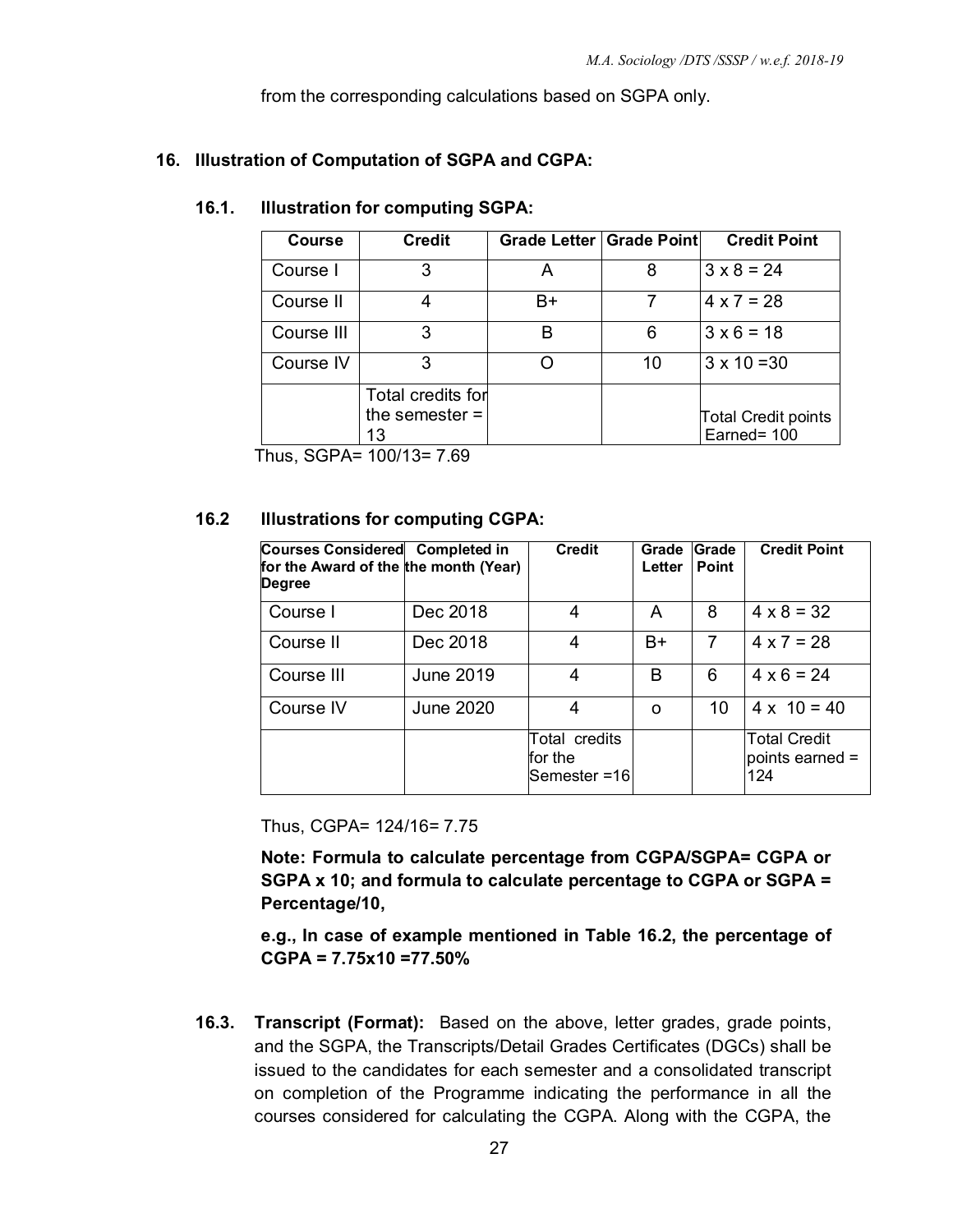from the corresponding calculations based on SGPA only.

# **16. Illustration of Computation of SGPA and CGPA:**

### **16.1. Illustration for computing SGPA:**

| <b>Course</b> | <b>Credit</b>                               | Grade Letter   Grade Point |    | <b>Credit Point</b>                       |
|---------------|---------------------------------------------|----------------------------|----|-------------------------------------------|
| Course I      | З                                           |                            | 8  | $3 \times 8 = 24$                         |
| Course II     |                                             | B+                         |    | $4 \times 7 = 28$                         |
| Course III    | З                                           | R                          | 6  | $3 \times 6 = 18$                         |
| Course IV     | 3                                           |                            | 10 | $3 \times 10 = 30$                        |
|               | Total credits for<br>the semester $=$<br>13 |                            |    | <b>Total Credit points</b><br>Earned= 100 |

Thus, SGPA= 100/13= 7.69

#### **16.2 Illustrations for computing CGPA:**

| Courses Considered Completed in<br>for the Award of the the month (Year)<br><b>Degree</b> |           | <b>Credit</b>                            | Grade<br>Letter | <b>Grade</b><br><b>Point</b> | <b>Credit Point</b>                           |
|-------------------------------------------------------------------------------------------|-----------|------------------------------------------|-----------------|------------------------------|-----------------------------------------------|
| Course I                                                                                  | Dec 2018  | 4                                        | А               | 8                            | $4 \times 8 = 32$                             |
| Course II                                                                                 | Dec 2018  | 4                                        | $B+$            | 7                            | $4 \times 7 = 28$                             |
| Course III                                                                                | June 2019 | 4                                        | B               | 6                            | $4 \times 6 = 24$                             |
| Course IV                                                                                 | June 2020 | 4                                        | O               | 10                           | $4 \times 10 = 40$                            |
|                                                                                           |           | Total credits<br>for the<br>Semester =16 |                 |                              | <b>Total Credit</b><br>points earned =<br>124 |

Thus, CGPA= 124/16= 7.75

**Note: Formula to calculate percentage from CGPA/SGPA= CGPA or SGPA x 10; and formula to calculate percentage to CGPA or SGPA = Percentage/10,** 

**e.g., In case of example mentioned in Table 16.2, the percentage of CGPA = 7.75x10 =77.50%** 

**16.3. Transcript (Format):** Based on the above, letter grades, grade points, and the SGPA, the Transcripts/Detail Grades Certificates (DGCs) shall be issued to the candidates for each semester and a consolidated transcript on completion of the Programme indicating the performance in all the courses considered for calculating the CGPA. Along with the CGPA, the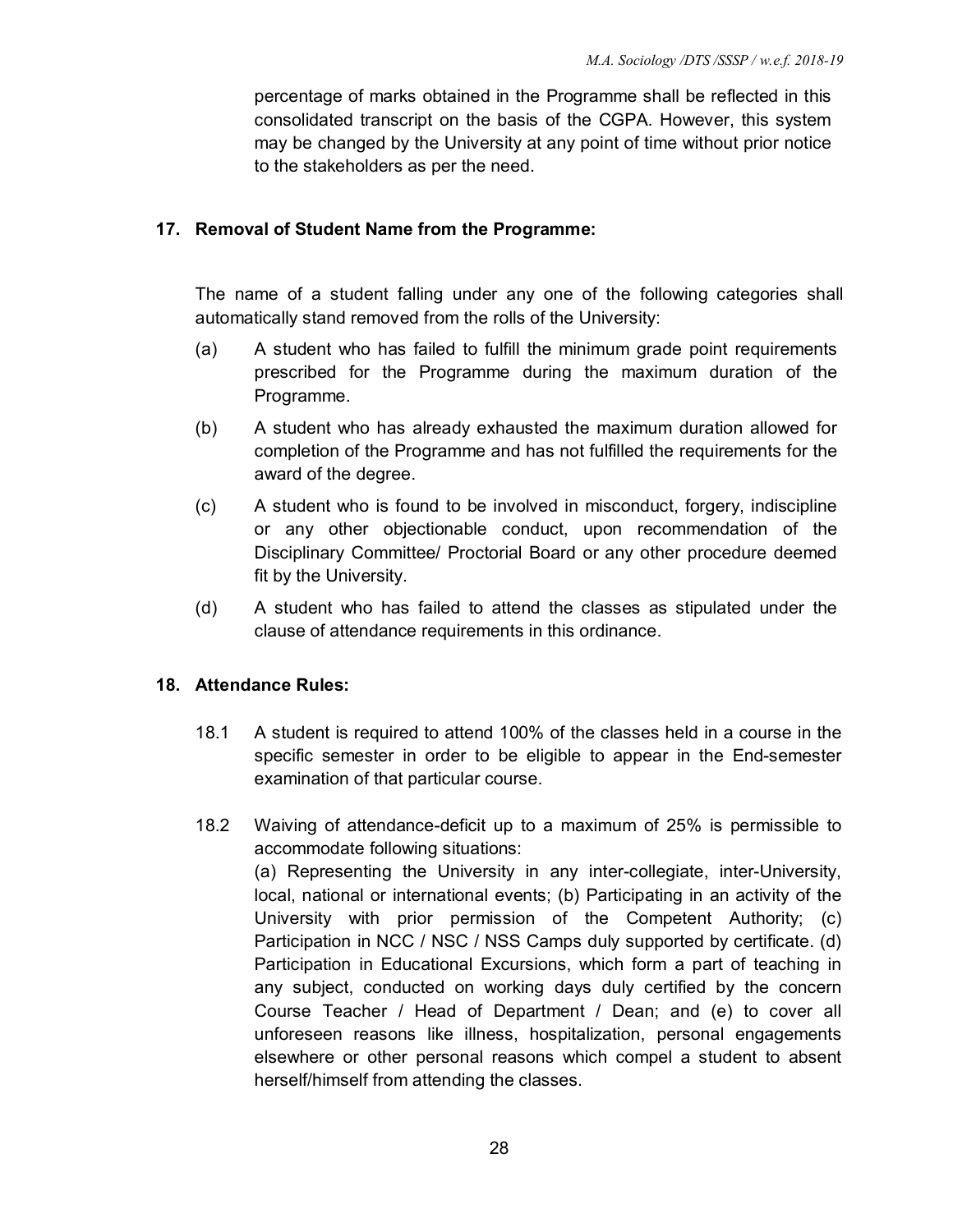percentage of marks obtained in the Programme shall be reflected in this consolidated transcript on the basis of the CGPA. However, this system may be changed by the University at any point of time without prior notice to the stakeholders as per the need.

# **17. Removal of Student Name from the Programme:**

The name of a student falling under any one of the following categories shall automatically stand removed from the rolls of the University:

- (a) A student who has failed to fulfill the minimum grade point requirements prescribed for the Programme during the maximum duration of the Programme.
- (b) A student who has already exhausted the maximum duration allowed for completion of the Programme and has not fulfilled the requirements for the award of the degree.
- (c) A student who is found to be involved in misconduct, forgery, indiscipline or any other objectionable conduct, upon recommendation of the Disciplinary Committee/ Proctorial Board or any other procedure deemed fit by the University.
- (d) A student who has failed to attend the classes as stipulated under the clause of attendance requirements in this ordinance.

#### **18. Attendance Rules:**

- 18.1 A student is required to attend 100% of the classes held in a course in the specific semester in order to be eligible to appear in the End-semester examination of that particular course.
- 18.2 Waiving of attendance-deficit up to a maximum of 25% is permissible to accommodate following situations: (a) Representing the University in any inter-collegiate, inter-University, local, national or international events; (b) Participating in an activity of the University with prior permission of the Competent Authority; (c) Participation in NCC / NSC / NSS Camps duly supported by certificate. (d) Participation in Educational Excursions, which form a part of teaching in any subject, conducted on working days duly certified by the concern Course Teacher / Head of Department / Dean; and (e) to cover all unforeseen reasons like illness, hospitalization, personal engagements elsewhere or other personal reasons which compel a student to absent herself/himself from attending the classes.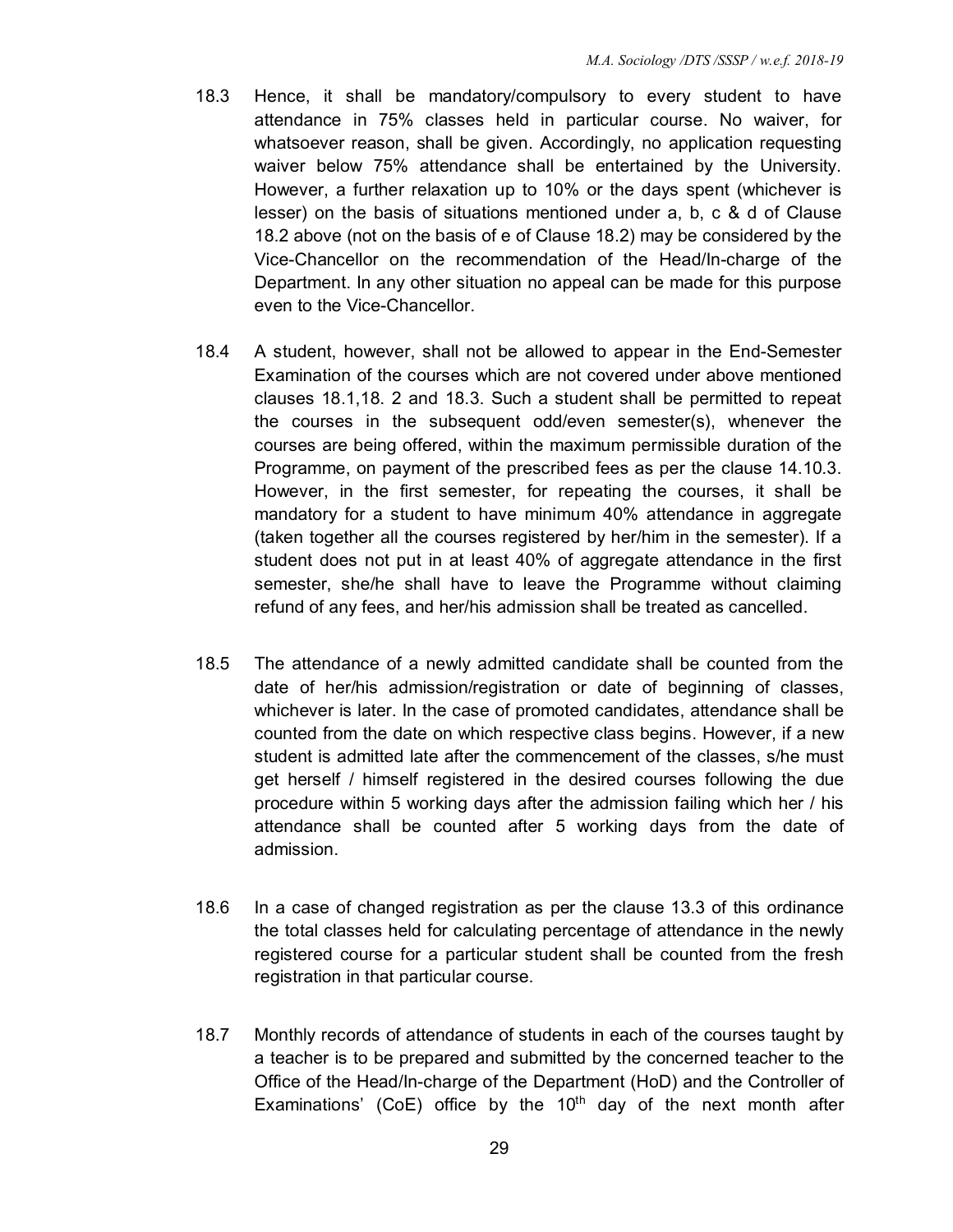- 18.3 Hence, it shall be mandatory/compulsory to every student to have attendance in 75% classes held in particular course. No waiver, for whatsoever reason, shall be given. Accordingly, no application requesting waiver below 75% attendance shall be entertained by the University. However, a further relaxation up to 10% or the days spent (whichever is lesser) on the basis of situations mentioned under a, b, c & d of Clause 18.2 above (not on the basis of e of Clause 18.2) may be considered by the Vice-Chancellor on the recommendation of the Head/In-charge of the Department. In any other situation no appeal can be made for this purpose even to the Vice-Chancellor.
- 18.4 A student, however, shall not be allowed to appear in the End-Semester Examination of the courses which are not covered under above mentioned clauses 18.1,18. 2 and 18.3. Such a student shall be permitted to repeat the courses in the subsequent odd/even semester(s), whenever the courses are being offered, within the maximum permissible duration of the Programme, on payment of the prescribed fees as per the clause 14.10.3. However, in the first semester, for repeating the courses, it shall be mandatory for a student to have minimum 40% attendance in aggregate (taken together all the courses registered by her/him in the semester). If a student does not put in at least 40% of aggregate attendance in the first semester, she/he shall have to leave the Programme without claiming refund of any fees, and her/his admission shall be treated as cancelled.
- 18.5 The attendance of a newly admitted candidate shall be counted from the date of her/his admission/registration or date of beginning of classes, whichever is later. In the case of promoted candidates, attendance shall be counted from the date on which respective class begins. However, if a new student is admitted late after the commencement of the classes, s/he must get herself / himself registered in the desired courses following the due procedure within 5 working days after the admission failing which her / his attendance shall be counted after 5 working days from the date of admission.
- 18.6 In a case of changed registration as per the clause 13.3 of this ordinance the total classes held for calculating percentage of attendance in the newly registered course for a particular student shall be counted from the fresh registration in that particular course.
- 18.7 Monthly records of attendance of students in each of the courses taught by a teacher is to be prepared and submitted by the concerned teacher to the Office of the Head/In-charge of the Department (HoD) and the Controller of Examinations' (CoE) office by the  $10<sup>th</sup>$  day of the next month after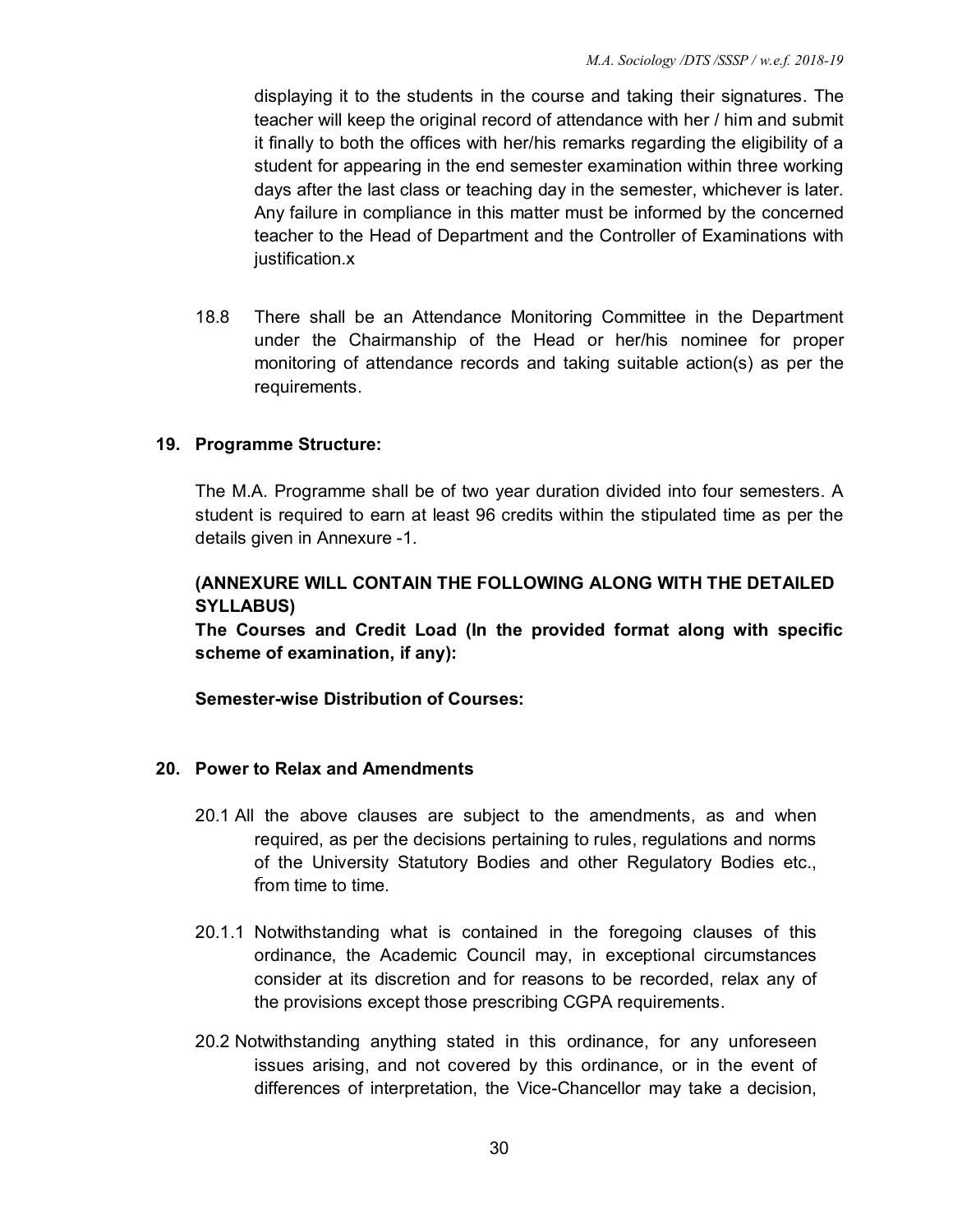displaying it to the students in the course and taking their signatures. The teacher will keep the original record of attendance with her / him and submit it finally to both the offices with her/his remarks regarding the eligibility of a student for appearing in the end semester examination within three working days after the last class or teaching day in the semester, whichever is later. Any failure in compliance in this matter must be informed by the concerned teacher to the Head of Department and the Controller of Examinations with justification.x

18.8 There shall be an Attendance Monitoring Committee in the Department under the Chairmanship of the Head or her/his nominee for proper monitoring of attendance records and taking suitable action(s) as per the requirements.

# **19. Programme Structure:**

The M.A. Programme shall be of two year duration divided into four semesters. A student is required to earn at least 96 credits within the stipulated time as per the details given in Annexure -1.

# **(ANNEXURE WILL CONTAIN THE FOLLOWING ALONG WITH THE DETAILED SYLLABUS)**

**The Courses and Credit Load (In the provided format along with specific scheme of examination, if any):** 

**Semester-wise Distribution of Courses:** 

#### **20. Power to Relax and Amendments**

- 20.1 All the above clauses are subject to the amendments, as and when required, as per the decisions pertaining to rules, regulations and norms of the University Statutory Bodies and other Regulatory Bodies etc., from time to time.
- 20.1.1 Notwithstanding what is contained in the foregoing clauses of this ordinance, the Academic Council may, in exceptional circumstances consider at its discretion and for reasons to be recorded, relax any of the provisions except those prescribing CGPA requirements.
- 20.2 Notwithstanding anything stated in this ordinance, for any unforeseen issues arising, and not covered by this ordinance, or in the event of differences of interpretation, the Vice-Chancellor may take a decision,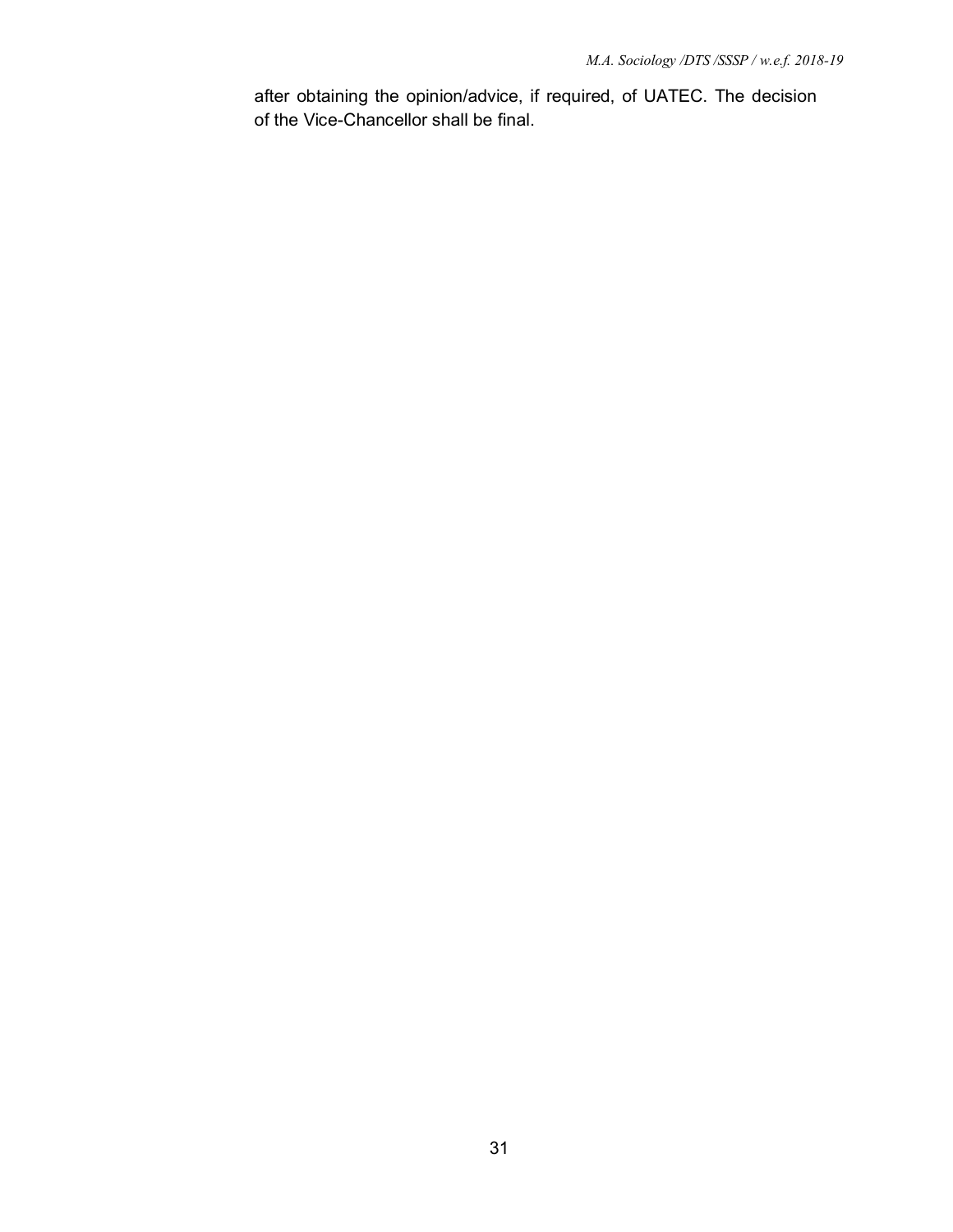after obtaining the opinion/advice, if required, of UATEC. The decision of the Vice-Chancellor shall be final.